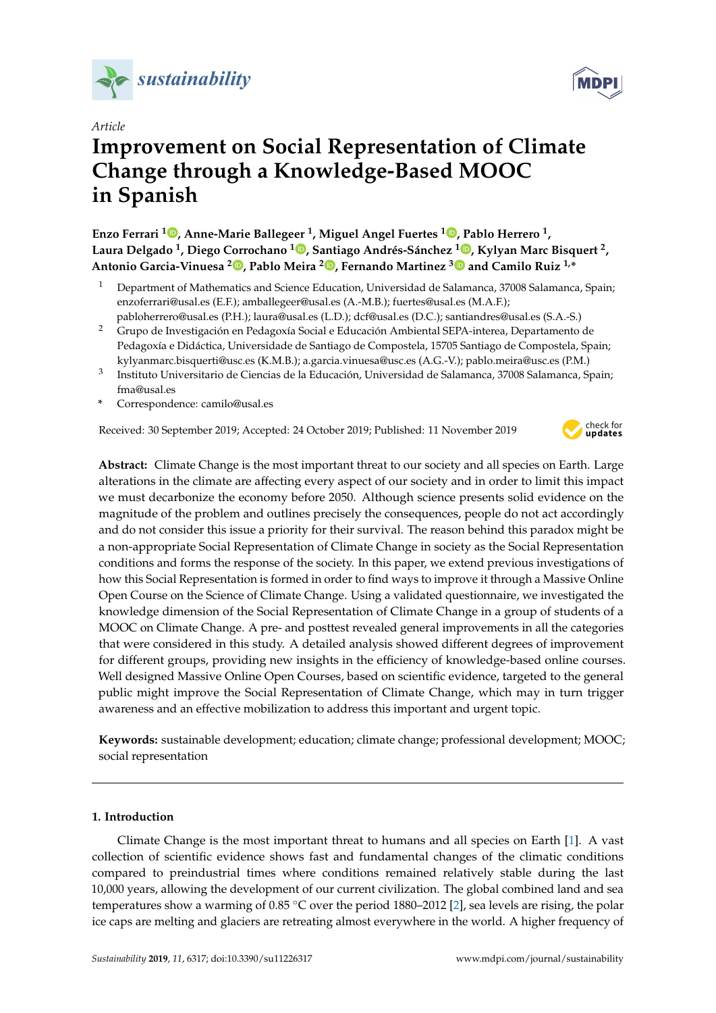

# *Article*

# **Improvement on Social Representation of Climate Change through a Knowledge-Based MOOC in Spanish**

**Enzo Ferrari <sup>1</sup> [,](https://orcid.org/0000-0002-4533-021X) Anne-Marie Ballegeer <sup>1</sup> , Miguel Angel Fuertes <sup>1</sup> [,](https://orcid.org/0000-0002-6914-6871) Pablo Herrero <sup>1</sup> , Laura Delgado <sup>1</sup> , Diego Corrochano <sup>1</sup> [,](https://orcid.org/0000-0002-6085-9744) Santiago Andrés-Sánchez <sup>1</sup> [,](https://orcid.org/0000-0002-8088-1607) Kylyan Marc Bisquert <sup>2</sup> , Antonio Garcia-Vinuesa [2](https://orcid.org/00000-0003-3969-4647) , Pablo Meira <sup>2</sup> [,](https://orcid.org/0000-0003-0194-7477) Fernando Martinez [3](https://orcid.org/0000-0002-1783-8198) and Camilo Ruiz 1,\***

- <sup>1</sup> Department of Mathematics and Science Education, Universidad de Salamanca, 37008 Salamanca, Spain; enzoferrari@usal.es (E.F.); amballegeer@usal.es (A.-M.B.); fuertes@usal.es (M.A.F.);
- pabloherrero@usal.es (P.H.); laura@usal.es (L.D.); dcf@usal.es (D.C.); santiandres@usal.es (S.A.-S.) <sup>2</sup> Grupo de Investigación en Pedagoxía Social e Educación Ambiental SEPA-interea, Departamento de Pedagoxía e Didáctica, Universidade de Santiago de Compostela, 15705 Santiago de Compostela, Spain; kylyanmarc.bisquerti@usc.es (K.M.B.); a.garcia.vinuesa@usc.es (A.G.-V.); pablo.meira@usc.es (P.M.)
- 3 Instituto Universitario de Ciencias de la Educación, Universidad de Salamanca, 37008 Salamanca, Spain; fma@usal.es
- **\*** Correspondence: camilo@usal.es

Received: 30 September 2019; Accepted: 24 October 2019; Published: 11 November 2019



**MDP** 

**Abstract:** Climate Change is the most important threat to our society and all species on Earth. Large alterations in the climate are affecting every aspect of our society and in order to limit this impact we must decarbonize the economy before 2050. Although science presents solid evidence on the magnitude of the problem and outlines precisely the consequences, people do not act accordingly and do not consider this issue a priority for their survival. The reason behind this paradox might be a non-appropriate Social Representation of Climate Change in society as the Social Representation conditions and forms the response of the society. In this paper, we extend previous investigations of how this Social Representation is formed in order to find ways to improve it through a Massive Online Open Course on the Science of Climate Change. Using a validated questionnaire, we investigated the knowledge dimension of the Social Representation of Climate Change in a group of students of a MOOC on Climate Change. A pre- and posttest revealed general improvements in all the categories that were considered in this study. A detailed analysis showed different degrees of improvement for different groups, providing new insights in the efficiency of knowledge-based online courses. Well designed Massive Online Open Courses, based on scientific evidence, targeted to the general public might improve the Social Representation of Climate Change, which may in turn trigger awareness and an effective mobilization to address this important and urgent topic.

**Keywords:** sustainable development; education; climate change; professional development; MOOC; social representation

## **1. Introduction**

Climate Change is the most important threat to humans and all species on Earth [\[1\]](#page-16-0). A vast collection of scientific evidence shows fast and fundamental changes of the climatic conditions compared to preindustrial times where conditions remained relatively stable during the last 10,000 years, allowing the development of our current civilization. The global combined land and sea temperatures show a warming of 0.85 ◦C over the period 1880–2012 [\[2\]](#page-16-1), sea levels are rising, the polar ice caps are melting and glaciers are retreating almost everywhere in the world. A higher frequency of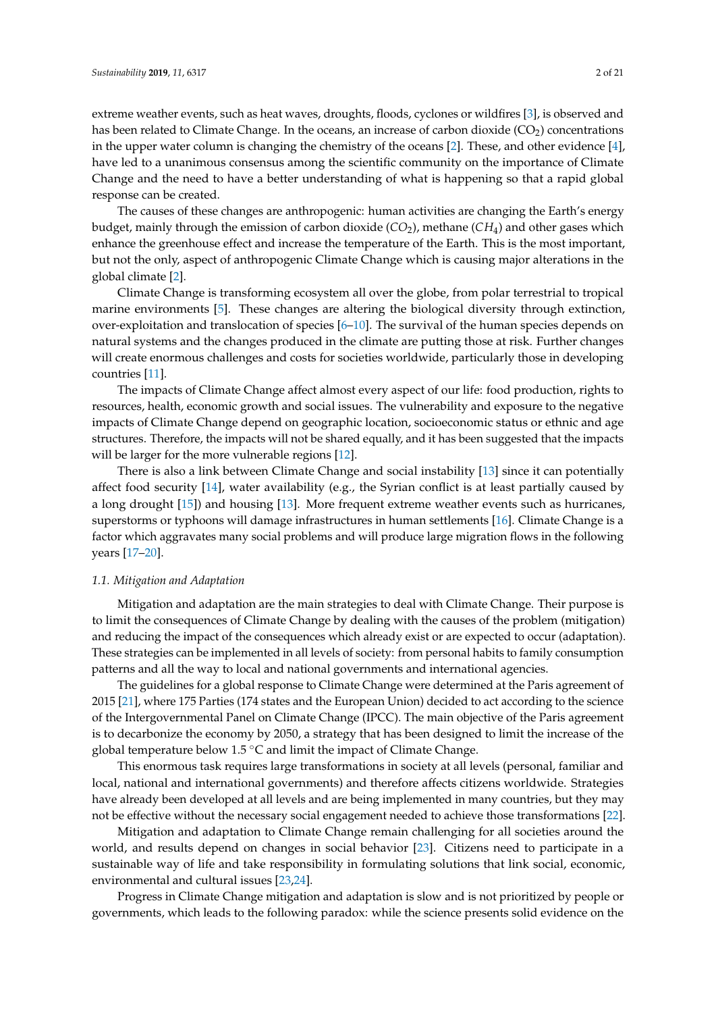extreme weather events, such as heat waves, droughts, floods, cyclones or wildfires [\[3\]](#page-16-2), is observed and has been related to Climate Change. In the oceans, an increase of carbon dioxide  $(CO<sub>2</sub>)$  concentrations in the upper water column is changing the chemistry of the oceans [\[2\]](#page-16-1). These, and other evidence [\[4\]](#page-16-3), have led to a unanimous consensus among the scientific community on the importance of Climate Change and the need to have a better understanding of what is happening so that a rapid global response can be created.

The causes of these changes are anthropogenic: human activities are changing the Earth's energy budget, mainly through the emission of carbon dioxide (*CO*2), methane (*CH*4) and other gases which enhance the greenhouse effect and increase the temperature of the Earth. This is the most important, but not the only, aspect of anthropogenic Climate Change which is causing major alterations in the global climate [\[2\]](#page-16-1).

Climate Change is transforming ecosystem all over the globe, from polar terrestrial to tropical marine environments [\[5\]](#page-16-4). These changes are altering the biological diversity through extinction, over-exploitation and translocation of species  $[6-10]$  $[6-10]$ . The survival of the human species depends on natural systems and the changes produced in the climate are putting those at risk. Further changes will create enormous challenges and costs for societies worldwide, particularly those in developing countries [\[11\]](#page-17-1).

The impacts of Climate Change affect almost every aspect of our life: food production, rights to resources, health, economic growth and social issues. The vulnerability and exposure to the negative impacts of Climate Change depend on geographic location, socioeconomic status or ethnic and age structures. Therefore, the impacts will not be shared equally, and it has been suggested that the impacts will be larger for the more vulnerable regions [\[12\]](#page-17-2).

There is also a link between Climate Change and social instability [\[13\]](#page-17-3) since it can potentially affect food security [\[14\]](#page-17-4), water availability (e.g., the Syrian conflict is at least partially caused by a long drought [\[15\]](#page-17-5)) and housing [\[13\]](#page-17-3). More frequent extreme weather events such as hurricanes, superstorms or typhoons will damage infrastructures in human settlements [\[16\]](#page-17-6). Climate Change is a factor which aggravates many social problems and will produce large migration flows in the following years [\[17](#page-17-7)[–20\]](#page-17-8).

#### *1.1. Mitigation and Adaptation*

Mitigation and adaptation are the main strategies to deal with Climate Change. Their purpose is to limit the consequences of Climate Change by dealing with the causes of the problem (mitigation) and reducing the impact of the consequences which already exist or are expected to occur (adaptation). These strategies can be implemented in all levels of society: from personal habits to family consumption patterns and all the way to local and national governments and international agencies.

The guidelines for a global response to Climate Change were determined at the Paris agreement of 2015 [\[21\]](#page-17-9), where 175 Parties (174 states and the European Union) decided to act according to the science of the Intergovernmental Panel on Climate Change (IPCC). The main objective of the Paris agreement is to decarbonize the economy by 2050, a strategy that has been designed to limit the increase of the global temperature below 1.5 °C and limit the impact of Climate Change.

This enormous task requires large transformations in society at all levels (personal, familiar and local, national and international governments) and therefore affects citizens worldwide. Strategies have already been developed at all levels and are being implemented in many countries, but they may not be effective without the necessary social engagement needed to achieve those transformations [\[22\]](#page-17-10).

Mitigation and adaptation to Climate Change remain challenging for all societies around the world, and results depend on changes in social behavior [\[23\]](#page-17-11). Citizens need to participate in a sustainable way of life and take responsibility in formulating solutions that link social, economic, environmental and cultural issues [\[23](#page-17-11)[,24\]](#page-17-12).

Progress in Climate Change mitigation and adaptation is slow and is not prioritized by people or governments, which leads to the following paradox: while the science presents solid evidence on the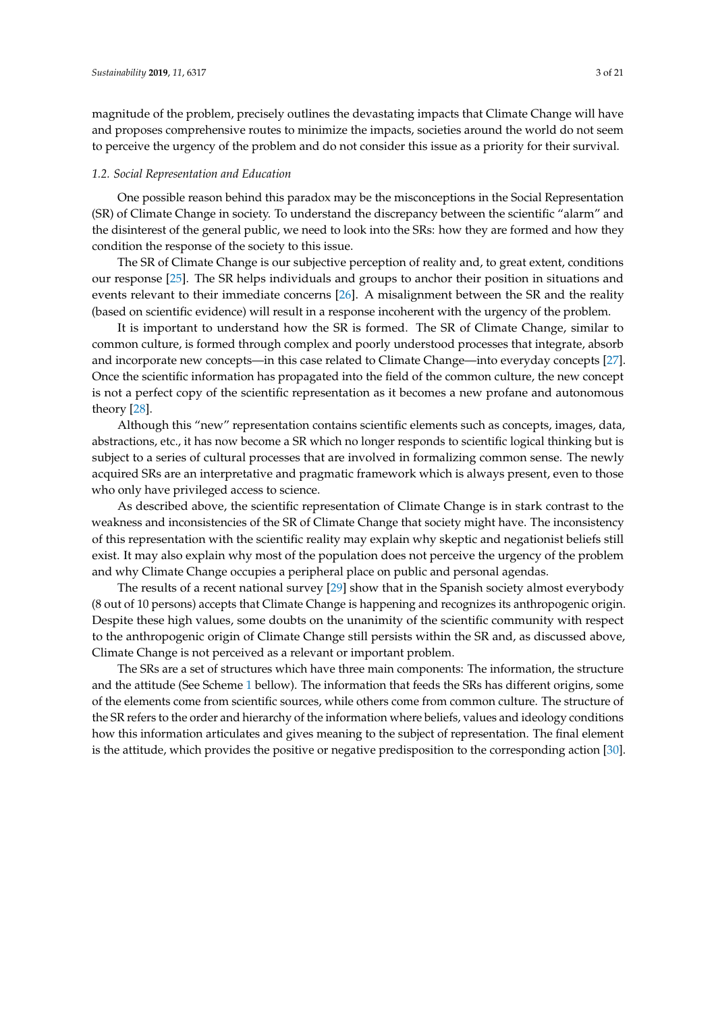magnitude of the problem, precisely outlines the devastating impacts that Climate Change will have and proposes comprehensive routes to minimize the impacts, societies around the world do not seem to perceive the urgency of the problem and do not consider this issue as a priority for their survival.

#### *1.2. Social Representation and Education*

One possible reason behind this paradox may be the misconceptions in the Social Representation (SR) of Climate Change in society. To understand the discrepancy between the scientific "alarm" and the disinterest of the general public, we need to look into the SRs: how they are formed and how they condition the response of the society to this issue.

The SR of Climate Change is our subjective perception of reality and, to great extent, conditions our response [\[25\]](#page-17-13). The SR helps individuals and groups to anchor their position in situations and events relevant to their immediate concerns [\[26\]](#page-17-14). A misalignment between the SR and the reality (based on scientific evidence) will result in a response incoherent with the urgency of the problem.

It is important to understand how the SR is formed. The SR of Climate Change, similar to common culture, is formed through complex and poorly understood processes that integrate, absorb and incorporate new concepts—in this case related to Climate Change—into everyday concepts [\[27\]](#page-17-15). Once the scientific information has propagated into the field of the common culture, the new concept is not a perfect copy of the scientific representation as it becomes a new profane and autonomous theory [\[28\]](#page-17-16).

Although this "new" representation contains scientific elements such as concepts, images, data, abstractions, etc., it has now become a SR which no longer responds to scientific logical thinking but is subject to a series of cultural processes that are involved in formalizing common sense. The newly acquired SRs are an interpretative and pragmatic framework which is always present, even to those who only have privileged access to science.

As described above, the scientific representation of Climate Change is in stark contrast to the weakness and inconsistencies of the SR of Climate Change that society might have. The inconsistency of this representation with the scientific reality may explain why skeptic and negationist beliefs still exist. It may also explain why most of the population does not perceive the urgency of the problem and why Climate Change occupies a peripheral place on public and personal agendas.

The results of a recent national survey [\[29\]](#page-17-17) show that in the Spanish society almost everybody (8 out of 10 persons) accepts that Climate Change is happening and recognizes its anthropogenic origin. Despite these high values, some doubts on the unanimity of the scientific community with respect to the anthropogenic origin of Climate Change still persists within the SR and, as discussed above, Climate Change is not perceived as a relevant or important problem.

The SRs are a set of structures which have three main components: The information, the structure and the attitude (See Scheme [1](#page-3-0) bellow). The information that feeds the SRs has different origins, some of the elements come from scientific sources, while others come from common culture. The structure of the SR refers to the order and hierarchy of the information where beliefs, values and ideology conditions how this information articulates and gives meaning to the subject of representation. The final element is the attitude, which provides the positive or negative predisposition to the corresponding action [\[30\]](#page-18-0).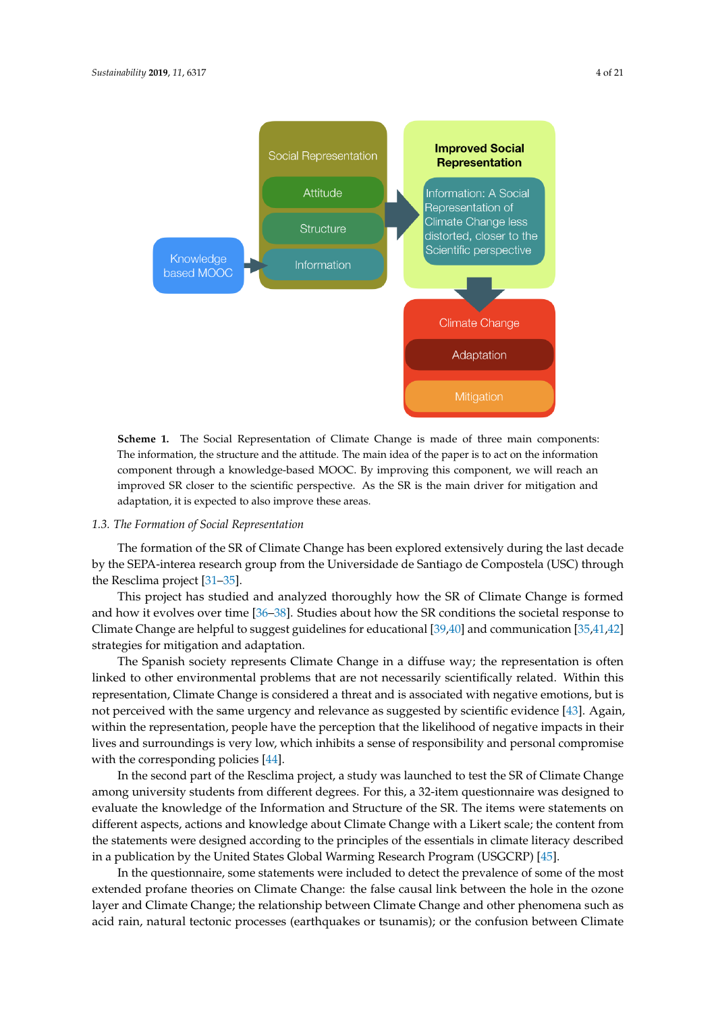<span id="page-3-0"></span>

**Scheme 1.** The Social Representation of Climate Change is made of three main components: The information, the structure and the attitude. The main idea of the paper is to act on the information component through a knowledge-based MOOC. By improving this component, we will reach an improved SR closer to the scientific perspective. As the SR is the main driver for mitigation and adaptation, it is expected to also improve these areas.

## *1.3. The Formation of Social Representation*

The formation of the SR of Climate Change has been explored extensively during the last decade by the SEPA-interea research group from the Universidade de Santiago de Compostela (USC) through the Resclima project [\[31–](#page-18-1)[35\]](#page-18-2).

This project has studied and analyzed thoroughly how the SR of Climate Change is formed and how it evolves over time [\[36](#page-18-3)[–38\]](#page-18-4). Studies about how the SR conditions the societal response to Climate Change are helpful to suggest guidelines for educational [\[39](#page-18-5)[,40\]](#page-18-6) and communication [\[35,](#page-18-2)[41,](#page-18-7)[42\]](#page-18-8) strategies for mitigation and adaptation.

The Spanish society represents Climate Change in a diffuse way; the representation is often linked to other environmental problems that are not necessarily scientifically related. Within this representation, Climate Change is considered a threat and is associated with negative emotions, but is not perceived with the same urgency and relevance as suggested by scientific evidence [\[43\]](#page-18-9). Again, within the representation, people have the perception that the likelihood of negative impacts in their lives and surroundings is very low, which inhibits a sense of responsibility and personal compromise with the corresponding policies [\[44\]](#page-18-10).

In the second part of the Resclima project, a study was launched to test the SR of Climate Change among university students from different degrees. For this, a 32-item questionnaire was designed to evaluate the knowledge of the Information and Structure of the SR. The items were statements on different aspects, actions and knowledge about Climate Change with a Likert scale; the content from the statements were designed according to the principles of the essentials in climate literacy described in a publication by the United States Global Warming Research Program (USGCRP) [\[45\]](#page-18-11).

In the questionnaire, some statements were included to detect the prevalence of some of the most extended profane theories on Climate Change: the false causal link between the hole in the ozone layer and Climate Change; the relationship between Climate Change and other phenomena such as acid rain, natural tectonic processes (earthquakes or tsunamis); or the confusion between Climate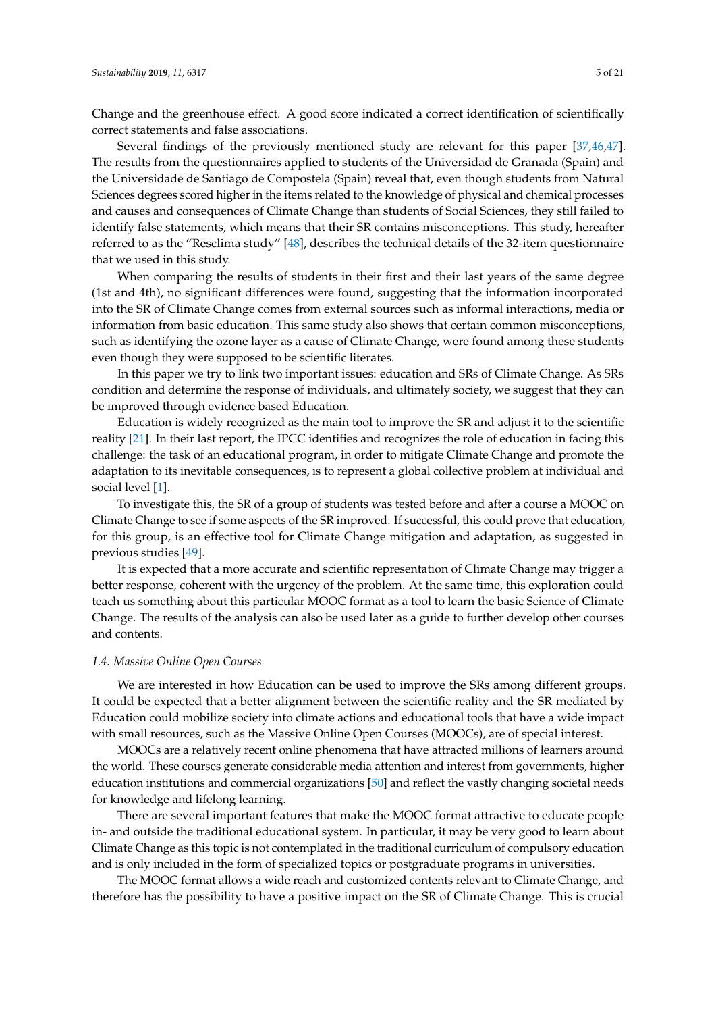Change and the greenhouse effect. A good score indicated a correct identification of scientifically correct statements and false associations.

Several findings of the previously mentioned study are relevant for this paper [\[37,](#page-18-12)[46,](#page-18-13)[47\]](#page-18-14). The results from the questionnaires applied to students of the Universidad de Granada (Spain) and the Universidade de Santiago de Compostela (Spain) reveal that, even though students from Natural Sciences degrees scored higher in the items related to the knowledge of physical and chemical processes and causes and consequences of Climate Change than students of Social Sciences, they still failed to identify false statements, which means that their SR contains misconceptions. This study, hereafter referred to as the "Resclima study" [\[48\]](#page-18-15), describes the technical details of the 32-item questionnaire that we used in this study.

When comparing the results of students in their first and their last years of the same degree (1st and 4th), no significant differences were found, suggesting that the information incorporated into the SR of Climate Change comes from external sources such as informal interactions, media or information from basic education. This same study also shows that certain common misconceptions, such as identifying the ozone layer as a cause of Climate Change, were found among these students even though they were supposed to be scientific literates.

In this paper we try to link two important issues: education and SRs of Climate Change. As SRs condition and determine the response of individuals, and ultimately society, we suggest that they can be improved through evidence based Education.

Education is widely recognized as the main tool to improve the SR and adjust it to the scientific reality [\[21\]](#page-17-9). In their last report, the IPCC identifies and recognizes the role of education in facing this challenge: the task of an educational program, in order to mitigate Climate Change and promote the adaptation to its inevitable consequences, is to represent a global collective problem at individual and social level [\[1\]](#page-16-0).

To investigate this, the SR of a group of students was tested before and after a course a MOOC on Climate Change to see if some aspects of the SR improved. If successful, this could prove that education, for this group, is an effective tool for Climate Change mitigation and adaptation, as suggested in previous studies [\[49\]](#page-18-16).

It is expected that a more accurate and scientific representation of Climate Change may trigger a better response, coherent with the urgency of the problem. At the same time, this exploration could teach us something about this particular MOOC format as a tool to learn the basic Science of Climate Change. The results of the analysis can also be used later as a guide to further develop other courses and contents.

#### *1.4. Massive Online Open Courses*

We are interested in how Education can be used to improve the SRs among different groups. It could be expected that a better alignment between the scientific reality and the SR mediated by Education could mobilize society into climate actions and educational tools that have a wide impact with small resources, such as the Massive Online Open Courses (MOOCs), are of special interest.

MOOCs are a relatively recent online phenomena that have attracted millions of learners around the world. These courses generate considerable media attention and interest from governments, higher education institutions and commercial organizations [\[50\]](#page-18-17) and reflect the vastly changing societal needs for knowledge and lifelong learning.

There are several important features that make the MOOC format attractive to educate people in- and outside the traditional educational system. In particular, it may be very good to learn about Climate Change as this topic is not contemplated in the traditional curriculum of compulsory education and is only included in the form of specialized topics or postgraduate programs in universities.

The MOOC format allows a wide reach and customized contents relevant to Climate Change, and therefore has the possibility to have a positive impact on the SR of Climate Change. This is crucial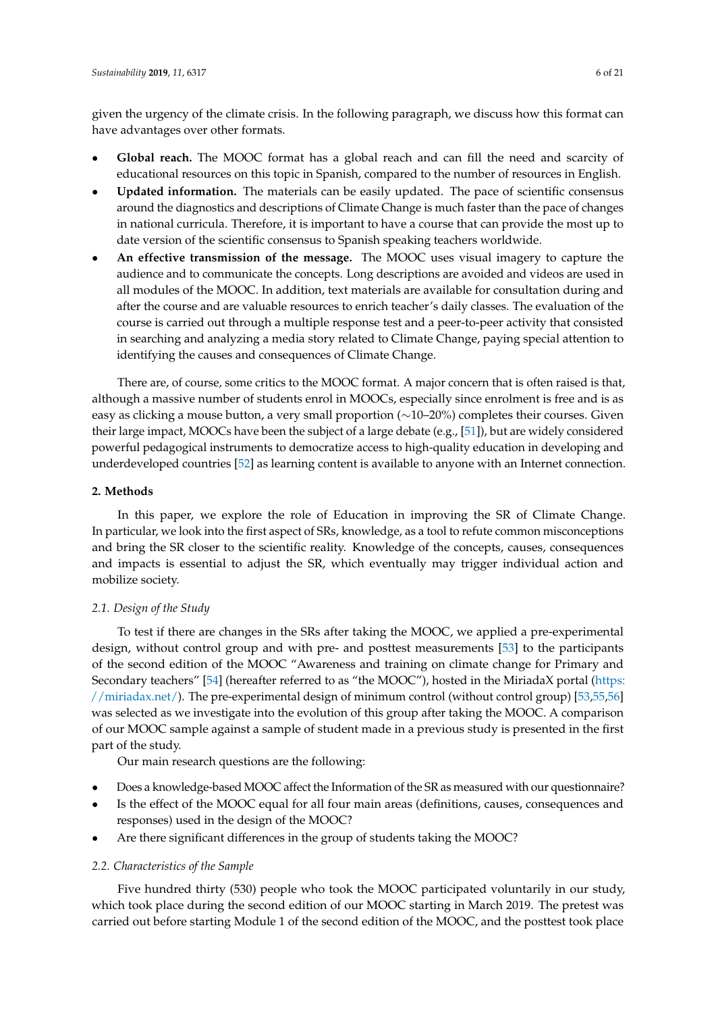given the urgency of the climate crisis. In the following paragraph, we discuss how this format can have advantages over other formats.

- **Global reach.** The MOOC format has a global reach and can fill the need and scarcity of educational resources on this topic in Spanish, compared to the number of resources in English.
- **Updated information.** The materials can be easily updated. The pace of scientific consensus around the diagnostics and descriptions of Climate Change is much faster than the pace of changes in national curricula. Therefore, it is important to have a course that can provide the most up to date version of the scientific consensus to Spanish speaking teachers worldwide.
- **An effective transmission of the message.** The MOOC uses visual imagery to capture the audience and to communicate the concepts. Long descriptions are avoided and videos are used in all modules of the MOOC. In addition, text materials are available for consultation during and after the course and are valuable resources to enrich teacher's daily classes. The evaluation of the course is carried out through a multiple response test and a peer-to-peer activity that consisted in searching and analyzing a media story related to Climate Change, paying special attention to identifying the causes and consequences of Climate Change.

There are, of course, some critics to the MOOC format. A major concern that is often raised is that, although a massive number of students enrol in MOOCs, especially since enrolment is free and is as easy as clicking a mouse button, a very small proportion (∼10–20%) completes their courses. Given their large impact, MOOCs have been the subject of a large debate (e.g., [\[51\]](#page-19-0)), but are widely considered powerful pedagogical instruments to democratize access to high-quality education in developing and underdeveloped countries [\[52\]](#page-19-1) as learning content is available to anyone with an Internet connection.

# **2. Methods**

In this paper, we explore the role of Education in improving the SR of Climate Change. In particular, we look into the first aspect of SRs, knowledge, as a tool to refute common misconceptions and bring the SR closer to the scientific reality. Knowledge of the concepts, causes, consequences and impacts is essential to adjust the SR, which eventually may trigger individual action and mobilize society.

# *2.1. Design of the Study*

To test if there are changes in the SRs after taking the MOOC, we applied a pre-experimental design, without control group and with pre- and posttest measurements [\[53\]](#page-19-2) to the participants of the second edition of the MOOC "Awareness and training on climate change for Primary and Secondary teachers" [\[54\]](#page-19-3) (hereafter referred to as "the MOOC"), hosted in the MiriadaX portal [\(https:](https://miriadax.net/) [//miriadax.net/\)](https://miriadax.net/). The pre-experimental design of minimum control (without control group) [\[53,](#page-19-2)[55,](#page-19-4)[56\]](#page-19-5) was selected as we investigate into the evolution of this group after taking the MOOC. A comparison of our MOOC sample against a sample of student made in a previous study is presented in the first part of the study.

Our main research questions are the following:

- Does a knowledge-based MOOC affect the Information of the SR as measured with our questionnaire?
- Is the effect of the MOOC equal for all four main areas (definitions, causes, consequences and responses) used in the design of the MOOC?
- Are there significant differences in the group of students taking the MOOC?

# *2.2. Characteristics of the Sample*

Five hundred thirty (530) people who took the MOOC participated voluntarily in our study, which took place during the second edition of our MOOC starting in March 2019. The pretest was carried out before starting Module 1 of the second edition of the MOOC, and the posttest took place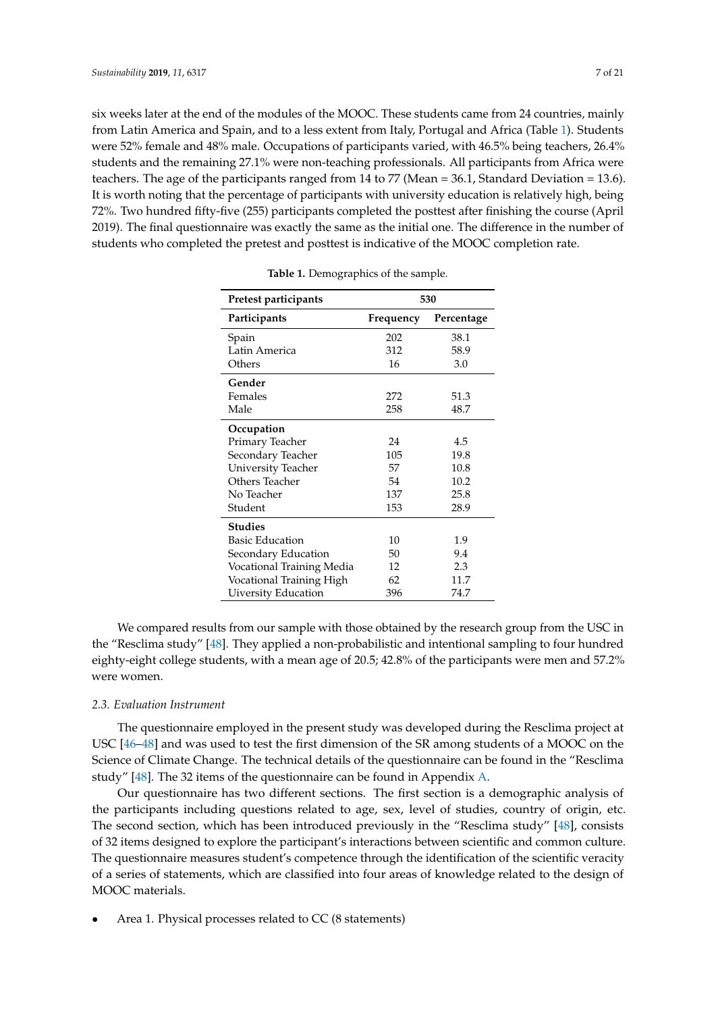six weeks later at the end of the modules of the MOOC. These students came from 24 countries, mainly from Latin America and Spain, and to a less extent from Italy, Portugal and Africa (Table [1\)](#page-6-0). Students were 52% female and 48% male. Occupations of participants varied, with 46.5% being teachers, 26.4% students and the remaining 27.1% were non-teaching professionals. All participants from Africa were teachers. The age of the participants ranged from 14 to 77 (Mean = 36.1, Standard Deviation = 13.6). It is worth noting that the percentage of participants with university education is relatively high, being 72%. Two hundred fifty-five (255) participants completed the posttest after finishing the course (April 2019). The final questionnaire was exactly the same as the initial one. The difference in the number of students who completed the pretest and posttest is indicative of the MOOC completion rate.

<span id="page-6-0"></span>

| Pretest participants      | 530       |            |  |  |  |  |
|---------------------------|-----------|------------|--|--|--|--|
| Participants              | Frequency | Percentage |  |  |  |  |
| Spain                     | 202       | 38.1       |  |  |  |  |
| Latin America             | 312       | 58.9       |  |  |  |  |
| Others                    | 16        | 3.0        |  |  |  |  |
| Gender                    |           |            |  |  |  |  |
| Females                   | 272       | 51.3       |  |  |  |  |
| Male                      | 258       | 48.7       |  |  |  |  |
| Occupation                |           |            |  |  |  |  |
| Primary Teacher           | 24        | 4.5        |  |  |  |  |
| Secondary Teacher         | 105       | 19.8       |  |  |  |  |
| <b>University Teacher</b> | 57        | 10.8       |  |  |  |  |
| Others Teacher            | 54        | 10.2       |  |  |  |  |
| No Teacher                | 137       | 25.8       |  |  |  |  |
| Student                   | 153       | 28.9       |  |  |  |  |
| <b>Studies</b>            |           |            |  |  |  |  |
| <b>Basic Education</b>    | 10        | 1.9        |  |  |  |  |
| Secondary Education       | 50        | 9.4        |  |  |  |  |
| Vocational Training Media | 12        | 2.3        |  |  |  |  |
| Vocational Training High  | 62        | 11.7       |  |  |  |  |
| Uiversity Education       | 396       | 74.7       |  |  |  |  |

**Table 1.** Demographics of the sample.

We compared results from our sample with those obtained by the research group from the USC in the "Resclima study" [\[48\]](#page-18-15). They applied a non-probabilistic and intentional sampling to four hundred eighty-eight college students, with a mean age of 20.5; 42.8% of the participants were men and 57.2% were women.

## *2.3. Evaluation Instrument*

The questionnaire employed in the present study was developed during the Resclima project at USC [\[46](#page-18-13)[–48\]](#page-18-15) and was used to test the first dimension of the SR among students of a MOOC on the Science of Climate Change. The technical details of the questionnaire can be found in the "Resclima study" [\[48\]](#page-18-15). The 32 items of the questionnaire can be found in Appendix [A.](#page-15-0)

Our questionnaire has two different sections. The first section is a demographic analysis of the participants including questions related to age, sex, level of studies, country of origin, etc. The second section, which has been introduced previously in the "Resclima study" [\[48\]](#page-18-15), consists of 32 items designed to explore the participant's interactions between scientific and common culture. The questionnaire measures student's competence through the identification of the scientific veracity of a series of statements, which are classified into four areas of knowledge related to the design of MOOC materials.

• Area 1. Physical processes related to CC (8 statements)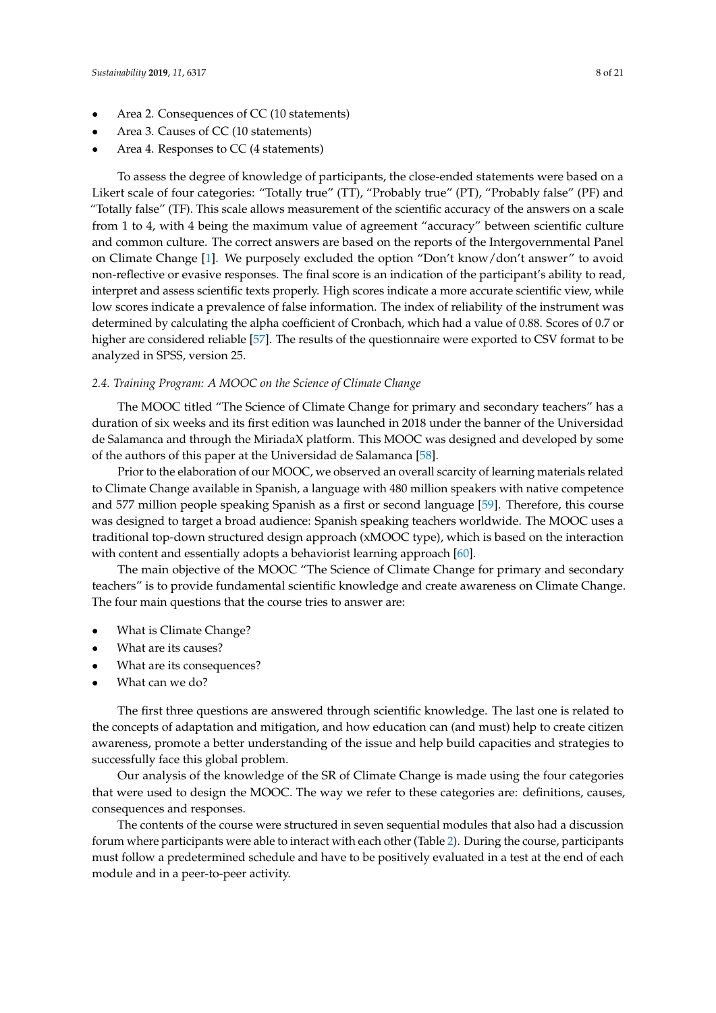- Area 2. Consequences of CC (10 statements)
- Area 3. Causes of CC (10 statements)
- Area 4. Responses to CC (4 statements)

To assess the degree of knowledge of participants, the close-ended statements were based on a Likert scale of four categories: "Totally true" (TT), "Probably true" (PT), "Probably false" (PF) and "Totally false" (TF). This scale allows measurement of the scientific accuracy of the answers on a scale from 1 to 4, with 4 being the maximum value of agreement "accuracy" between scientific culture and common culture. The correct answers are based on the reports of the Intergovernmental Panel on Climate Change [\[1\]](#page-16-0). We purposely excluded the option "Don't know/don't answer" to avoid non-reflective or evasive responses. The final score is an indication of the participant's ability to read, interpret and assess scientific texts properly. High scores indicate a more accurate scientific view, while low scores indicate a prevalence of false information. The index of reliability of the instrument was determined by calculating the alpha coefficient of Cronbach, which had a value of 0.88. Scores of 0.7 or higher are considered reliable [\[57\]](#page-19-6). The results of the questionnaire were exported to CSV format to be analyzed in SPSS, version 25.

#### *2.4. Training Program: A MOOC on the Science of Climate Change*

The MOOC titled "The Science of Climate Change for primary and secondary teachers" has a duration of six weeks and its first edition was launched in 2018 under the banner of the Universidad de Salamanca and through the MiriadaX platform. This MOOC was designed and developed by some of the authors of this paper at the Universidad de Salamanca [\[58\]](#page-19-7).

Prior to the elaboration of our MOOC, we observed an overall scarcity of learning materials related to Climate Change available in Spanish, a language with 480 million speakers with native competence and 577 million people speaking Spanish as a first or second language [\[59\]](#page-19-8). Therefore, this course was designed to target a broad audience: Spanish speaking teachers worldwide. The MOOC uses a traditional top-down structured design approach (xMOOC type), which is based on the interaction with content and essentially adopts a behaviorist learning approach [\[60\]](#page-19-9).

The main objective of the MOOC "The Science of Climate Change for primary and secondary teachers" is to provide fundamental scientific knowledge and create awareness on Climate Change. The four main questions that the course tries to answer are:

- What is Climate Change?
- What are its causes?
- What are its consequences?
- What can we do?

The first three questions are answered through scientific knowledge. The last one is related to the concepts of adaptation and mitigation, and how education can (and must) help to create citizen awareness, promote a better understanding of the issue and help build capacities and strategies to successfully face this global problem.

Our analysis of the knowledge of the SR of Climate Change is made using the four categories that were used to design the MOOC. The way we refer to these categories are: definitions, causes, consequences and responses.

The contents of the course were structured in seven sequential modules that also had a discussion forum where participants were able to interact with each other (Table [2\)](#page-8-0). During the course, participants must follow a predetermined schedule and have to be positively evaluated in a test at the end of each module and in a peer-to-peer activity.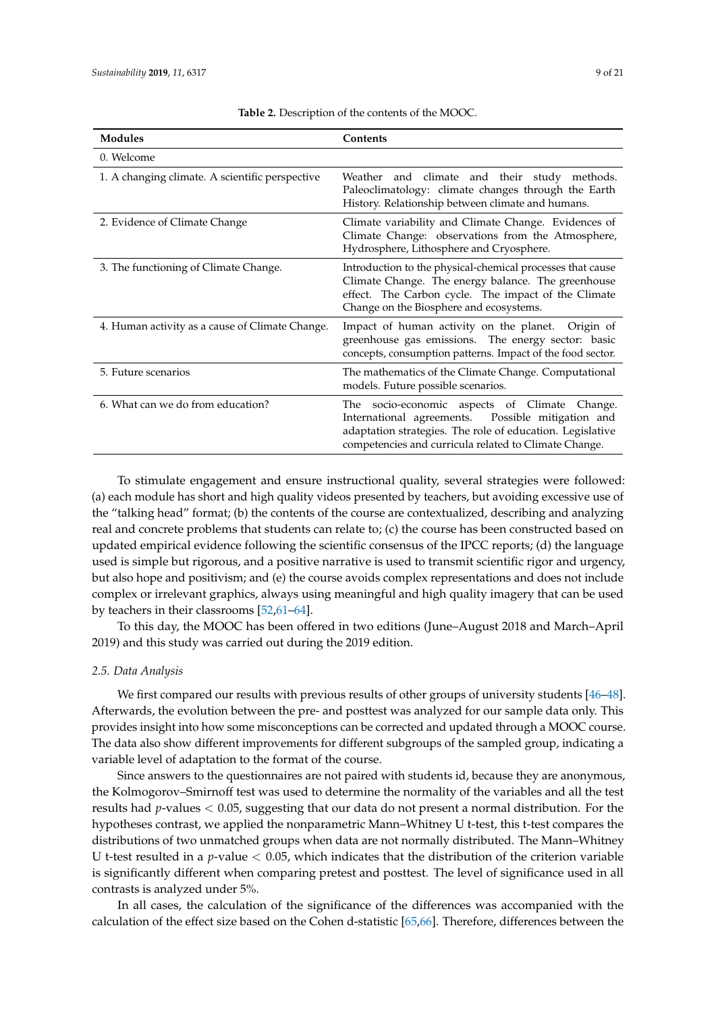<span id="page-8-0"></span>

| <b>Modules</b>                                  | Contents                                                                                                                                                                                                                 |
|-------------------------------------------------|--------------------------------------------------------------------------------------------------------------------------------------------------------------------------------------------------------------------------|
| 0. Welcome                                      |                                                                                                                                                                                                                          |
| 1. A changing climate. A scientific perspective | Weather and climate and their study methods.<br>Paleoclimatology: climate changes through the Earth<br>History. Relationship between climate and humans.                                                                 |
| 2. Evidence of Climate Change                   | Climate variability and Climate Change. Evidences of<br>Climate Change: observations from the Atmosphere,<br>Hydrosphere, Lithosphere and Cryosphere.                                                                    |
| 3. The functioning of Climate Change.           | Introduction to the physical-chemical processes that cause<br>Climate Change. The energy balance. The greenhouse<br>effect. The Carbon cycle. The impact of the Climate<br>Change on the Biosphere and ecosystems.       |
| 4. Human activity as a cause of Climate Change. | Impact of human activity on the planet. Origin of<br>greenhouse gas emissions. The energy sector: basic<br>concepts, consumption patterns. Impact of the food sector.                                                    |
| 5. Future scenarios                             | The mathematics of the Climate Change. Computational<br>models. Future possible scenarios.                                                                                                                               |
| 6. What can we do from education?               | The socio-economic aspects of Climate Change.<br>International agreements. Possible mitigation and<br>adaptation strategies. The role of education. Legislative<br>competencies and curricula related to Climate Change. |

**Table 2.** Description of the contents of the MOOC.

To stimulate engagement and ensure instructional quality, several strategies were followed: (a) each module has short and high quality videos presented by teachers, but avoiding excessive use of the "talking head" format; (b) the contents of the course are contextualized, describing and analyzing real and concrete problems that students can relate to; (c) the course has been constructed based on updated empirical evidence following the scientific consensus of the IPCC reports; (d) the language used is simple but rigorous, and a positive narrative is used to transmit scientific rigor and urgency, but also hope and positivism; and (e) the course avoids complex representations and does not include complex or irrelevant graphics, always using meaningful and high quality imagery that can be used by teachers in their classrooms [\[52,](#page-19-1)[61–](#page-19-10)[64\]](#page-19-11).

To this day, the MOOC has been offered in two editions (June–August 2018 and March–April 2019) and this study was carried out during the 2019 edition.

#### *2.5. Data Analysis*

We first compared our results with previous results of other groups of university students [\[46–](#page-18-13)[48\]](#page-18-15). Afterwards, the evolution between the pre- and posttest was analyzed for our sample data only. This provides insight into how some misconceptions can be corrected and updated through a MOOC course. The data also show different improvements for different subgroups of the sampled group, indicating a variable level of adaptation to the format of the course.

Since answers to the questionnaires are not paired with students id, because they are anonymous, the Kolmogorov–Smirnoff test was used to determine the normality of the variables and all the test results had *p*-values < 0.05, suggesting that our data do not present a normal distribution. For the hypotheses contrast, we applied the nonparametric Mann–Whitney U t-test, this t-test compares the distributions of two unmatched groups when data are not normally distributed. The Mann–Whitney U t-test resulted in a *p*-value < 0.05, which indicates that the distribution of the criterion variable is significantly different when comparing pretest and posttest. The level of significance used in all contrasts is analyzed under 5%.

In all cases, the calculation of the significance of the differences was accompanied with the calculation of the effect size based on the Cohen d-statistic [\[65](#page-19-12)[,66\]](#page-19-13). Therefore, differences between the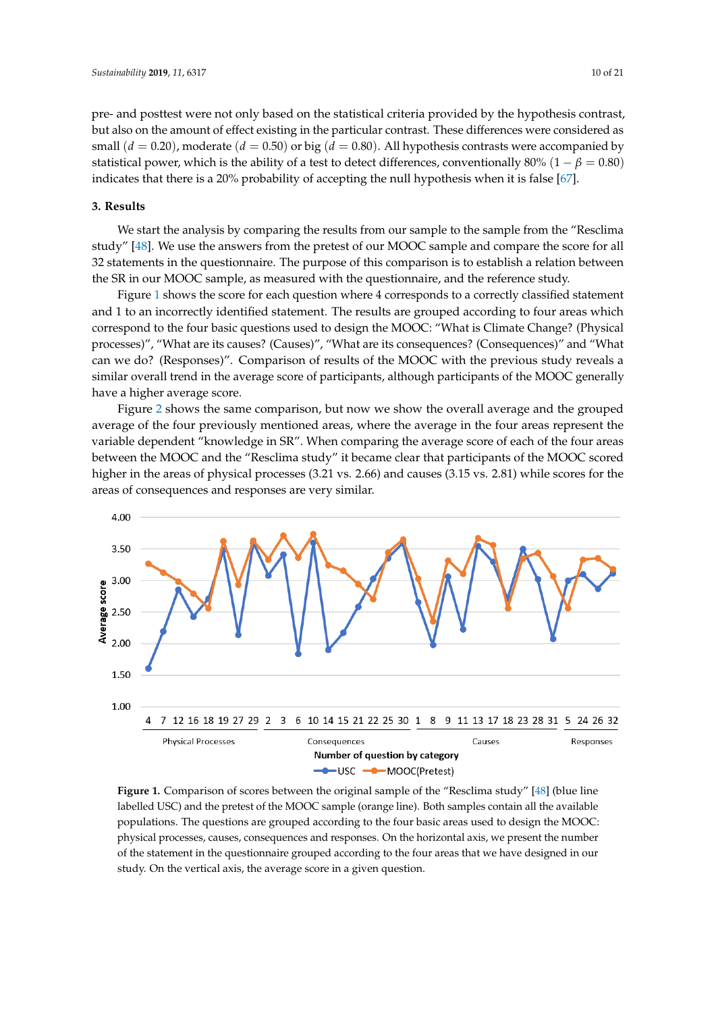pre- and posttest were not only based on the statistical criteria provided by the hypothesis contrast, but also on the amount of effect existing in the particular contrast. These differences were considered as small  $(d = 0.20)$ , moderate  $(d = 0.50)$  or big  $(d = 0.80)$ . All hypothesis contrasts were accompanied by statistical power, which is the ability of a test to detect differences, conventionally 80% ( $1 - \beta = 0.80$ ) indicates that there is a 20% probability of accepting the null hypothesis when it is false [\[67\]](#page-19-14).

# **3. Results**

We start the analysis by comparing the results from our sample to the sample from the "Resclima study" [\[48\]](#page-18-15). We use the answers from the pretest of our MOOC sample and compare the score for all 32 statements in the questionnaire. The purpose of this comparison is to establish a relation between the SR in our MOOC sample, as measured with the questionnaire, and the reference study.

Figure [1](#page-9-0) shows the score for each question where 4 corresponds to a correctly classified statement and 1 to an incorrectly identified statement. The results are grouped according to four areas which correspond to the four basic questions used to design the MOOC: "What is Climate Change? (Physical processes)", "What are its causes? (Causes)", "What are its consequences? (Consequences)" and "What can we do? (Responses)". Comparison of results of the MOOC with the previous study reveals a similar overall trend in the average score of participants, although participants of the MOOC generally have a higher average score.

Figure [2](#page-10-0) shows the same comparison, but now we show the overall average and the grouped average of the four previously mentioned areas, where the average in the four areas represent the variable dependent "knowledge in SR". When comparing the average score of each of the four areas between the MOOC and the "Resclima study" it became clear that participants of the MOOC scored higher in the areas of physical processes (3.21 vs. 2.66) and causes (3.15 vs. 2.81) while scores for the areas of consequences and responses are very similar.

<span id="page-9-0"></span>

**Figure 1.** Comparison of scores between the original sample of the "Resclima study" [\[48\]](#page-18-15) (blue line labelled USC) and the pretest of the MOOC sample (orange line). Both samples contain all the available populations. The questions are grouped according to the four basic areas used to design the MOOC: physical processes, causes, consequences and responses. On the horizontal axis, we present the number of the statement in the questionnaire grouped according to the four areas that we have designed in our study. On the vertical axis, the average score in a given question.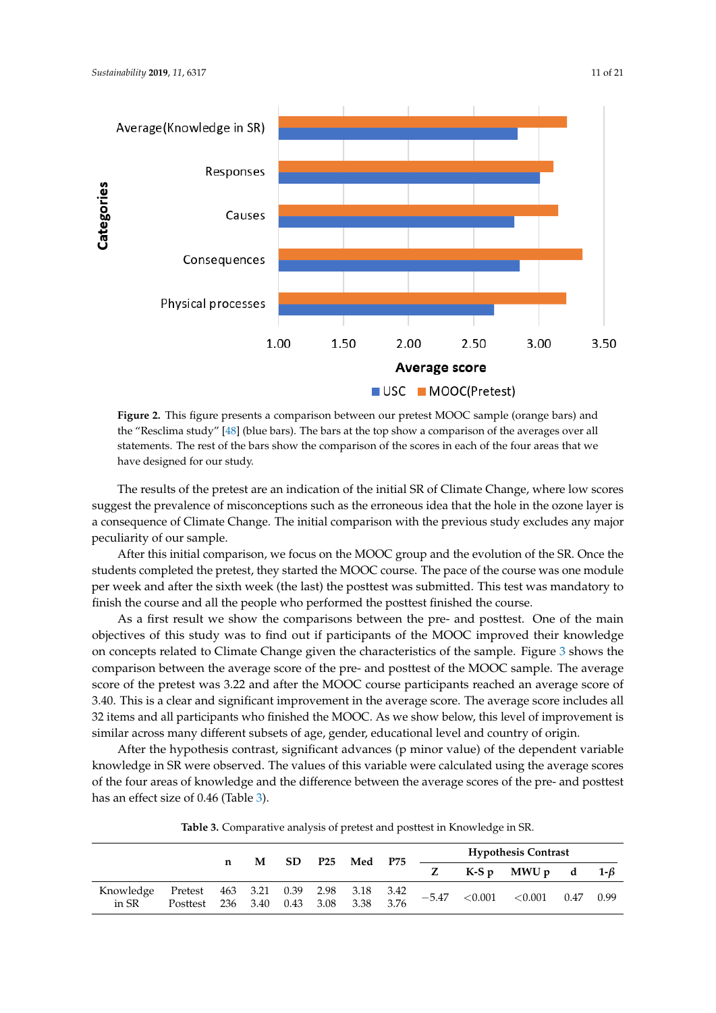<span id="page-10-0"></span>

**Figure 2.** This figure presents a comparison between our pretest MOOC sample (orange bars) and the "Resclima study" [\[48\]](#page-18-15) (blue bars). The bars at the top show a comparison of the averages over all statements. The rest of the bars show the comparison of the scores in each of the four areas that we have designed for our study.

The results of the pretest are an indication of the initial SR of Climate Change, where low scores suggest the prevalence of misconceptions such as the erroneous idea that the hole in the ozone layer is a consequence of Climate Change. The initial comparison with the previous study excludes any major peculiarity of our sample.

After this initial comparison, we focus on the MOOC group and the evolution of the SR. Once the students completed the pretest, they started the MOOC course. The pace of the course was one module per week and after the sixth week (the last) the posttest was submitted. This test was mandatory to finish the course and all the people who performed the posttest finished the course.

As a first result we show the comparisons between the pre- and posttest. One of the main objectives of this study was to find out if participants of the MOOC improved their knowledge on concepts related to Climate Change given the characteristics of the sample. Figure [3](#page-11-0) shows the comparison between the average score of the pre- and posttest of the MOOC sample. The average score of the pretest was 3.22 and after the MOOC course participants reached an average score of 3.40. This is a clear and significant improvement in the average score. The average score includes all 32 items and all participants who finished the MOOC. As we show below, this level of improvement is similar across many different subsets of age, gender, educational level and country of origin.

After the hypothesis contrast, significant advances (p minor value) of the dependent variable knowledge in SR were observed. The values of this variable were calculated using the average scores of the four areas of knowledge and the difference between the average scores of the pre- and posttest has an effect size of 0.46 (Table [3\)](#page-10-1).

<span id="page-10-1"></span>

|                                                         |                                       | n |  | M SD P25 Med | <b>P75</b> | <b>Hypothesis Contrast</b> |             |                                  |             |      |
|---------------------------------------------------------|---------------------------------------|---|--|--------------|------------|----------------------------|-------------|----------------------------------|-------------|------|
|                                                         |                                       |   |  |              |            |                            | K-Sp MWUp d |                                  | $1 - \beta$ |      |
| Knowledge Pretest 463 3.21 0.39 2.98 3.18 3.42<br>in SR | Posttest 236 3.40 0.43 3.08 3.38 3.76 |   |  |              |            |                            |             | $-5.47$ $< 0.001$ $< 0.001$ 0.47 |             | 0.99 |

**Table 3.** Comparative analysis of pretest and posttest in Knowledge in SR.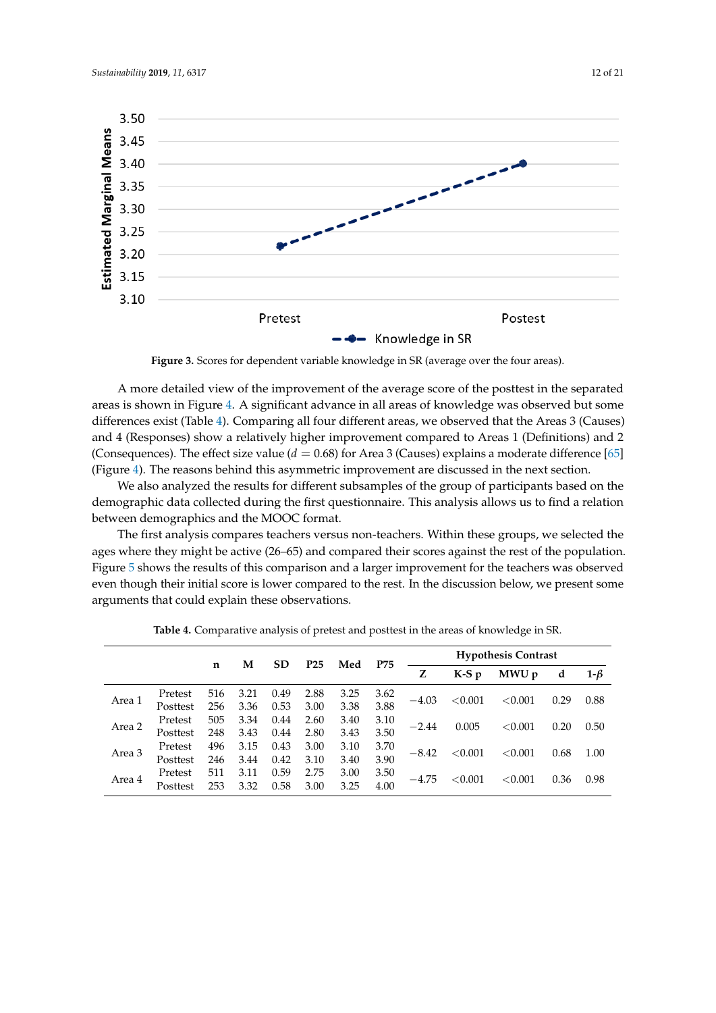<span id="page-11-0"></span>

**Figure 3.** Scores for dependent variable knowledge in SR (average over the four areas).

A more detailed view of the improvement of the average score of the posttest in the separated areas is shown in Figure [4.](#page-12-0) A significant advance in all areas of knowledge was observed but some differences exist (Table [4\)](#page-11-1). Comparing all four different areas, we observed that the Areas 3 (Causes) and 4 (Responses) show a relatively higher improvement compared to Areas 1 (Definitions) and 2 (Consequences). The effect size value ( $d = 0.68$ ) for Area 3 (Causes) explains a moderate difference [\[65\]](#page-19-12) (Figure [4\)](#page-12-0). The reasons behind this asymmetric improvement are discussed in the next section.

We also analyzed the results for different subsamples of the group of participants based on the demographic data collected during the first questionnaire. This analysis allows us to find a relation between demographics and the MOOC format.

The first analysis compares teachers versus non-teachers. Within these groups, we selected the ages where they might be active (26–65) and compared their scores against the rest of the population. Figure [5](#page-12-1) shows the results of this comparison and a larger improvement for the teachers was observed even though their initial score is lower compared to the rest. In the discussion below, we present some arguments that could explain these observations.

<span id="page-11-1"></span>

|        |          |     | М    | <b>SD</b> | P <sub>25</sub> | Med  | P75  |         | <b>Hypothesis Contrast</b> |         |      |           |  |
|--------|----------|-----|------|-----------|-----------------|------|------|---------|----------------------------|---------|------|-----------|--|
|        |          | n   |      |           |                 |      |      | Z       | $K-Sp$                     | MWU p   | d    | $1-\beta$ |  |
| Area 1 | Pretest  | 516 | 3.21 | 0.49      | 2.88            | 3.25 | 3.62 | $-4.03$ | < 0.001                    | < 0.001 | 0.29 | 0.88      |  |
|        | Posttest | 256 | 3.36 | 0.53      | 3.00            | 3.38 | 3.88 |         |                            |         |      |           |  |
| Area 2 | Pretest  | 505 | 3.34 | 0.44      | 2.60            | 3.40 | 3.10 | $-2.44$ | 0.005                      | < 0.001 | 0.20 | 0.50      |  |
|        | Posttest | 248 | 3.43 | 0.44      | 2.80            | 3.43 | 3.50 |         |                            |         |      |           |  |
| Area 3 | Pretest  | 496 | 3.15 | 0.43      | 3.00            | 3.10 | 3.70 | $-8.42$ | < 0.001                    | < 0.001 | 0.68 | 1.00      |  |
|        | Posttest | 246 | 3.44 | 0.42      | 3.10            | 3.40 | 3.90 |         |                            |         |      |           |  |
| Area 4 | Pretest  | 511 | 3.11 | 0.59      | 2.75            | 3.00 | 3.50 | $-4.75$ | < 0.001                    | < 0.001 | 0.36 | 0.98      |  |
|        | Posttest | 253 | 3.32 | 0.58      | 3.00            | 3.25 | 4.00 |         |                            |         |      |           |  |

**Table 4.** Comparative analysis of pretest and posttest in the areas of knowledge in SR.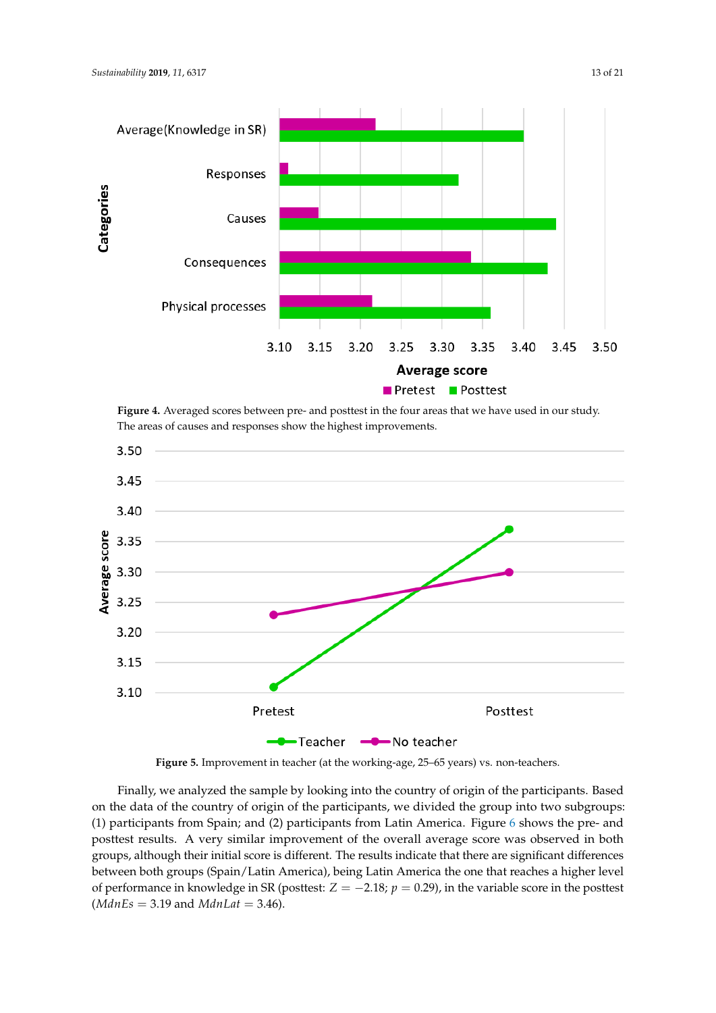<span id="page-12-0"></span>

**Figure 4.** Averaged scores between pre- and posttest in the four areas that we have used in our study. The areas of causes and responses show the highest improvements.

<span id="page-12-1"></span>

**Figure 5.** Improvement in teacher (at the working-age, 25–65 years) vs. non-teachers.

Finally, we analyzed the sample by looking into the country of origin of the participants. Based on the data of the country of origin of the participants, we divided the group into two subgroups: (1) participants from Spain; and (2) participants from Latin America. Figure [6](#page-13-0) shows the pre- and posttest results. A very similar improvement of the overall average score was observed in both groups, although their initial score is different. The results indicate that there are significant differences between both groups (Spain/Latin America), being Latin America the one that reaches a higher level of performance in knowledge in SR (posttest:  $Z = -2.18$ ;  $p = 0.29$ ), in the variable score in the posttest  $(Md nEs = 3.19$  and  $Md nLat = 3.46$ .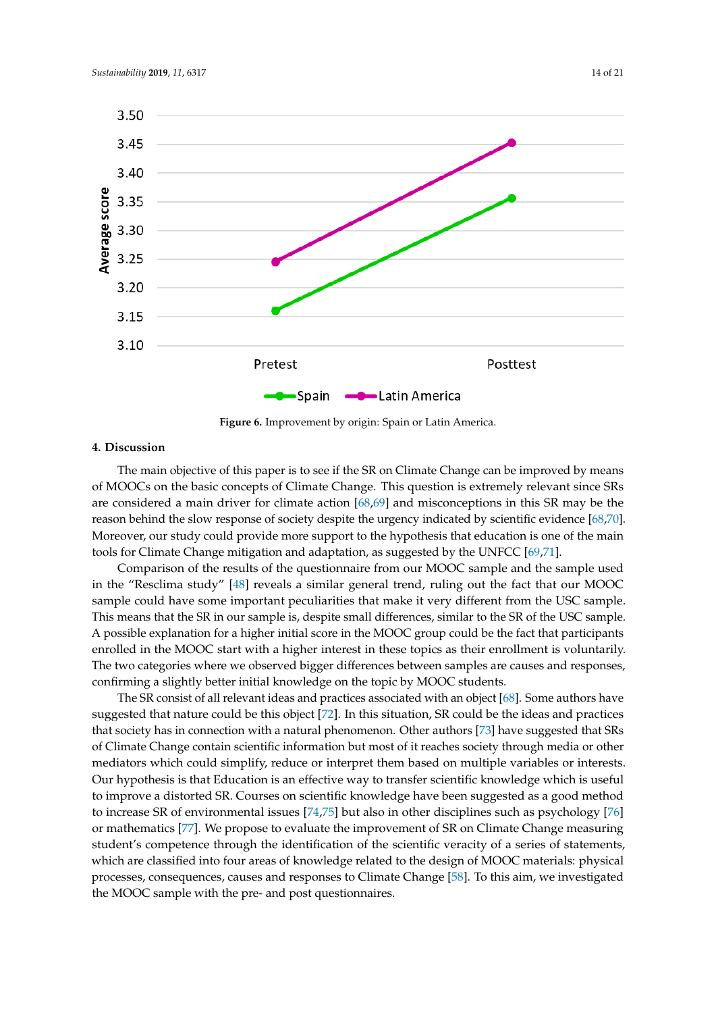<span id="page-13-0"></span>

**Figure 6.** Improvement by origin: Spain or Latin America.

# **4. Discussion**

The main objective of this paper is to see if the SR on Climate Change can be improved by means of MOOCs on the basic concepts of Climate Change. This question is extremely relevant since SRs are considered a main driver for climate action [\[68](#page-19-15)[,69\]](#page-19-16) and misconceptions in this SR may be the reason behind the slow response of society despite the urgency indicated by scientific evidence [\[68](#page-19-15)[,70\]](#page-19-17). Moreover, our study could provide more support to the hypothesis that education is one of the main tools for Climate Change mitigation and adaptation, as suggested by the UNFCC [\[69,](#page-19-16)[71\]](#page-19-18).

Comparison of the results of the questionnaire from our MOOC sample and the sample used in the "Resclima study" [\[48\]](#page-18-15) reveals a similar general trend, ruling out the fact that our MOOC sample could have some important peculiarities that make it very different from the USC sample. This means that the SR in our sample is, despite small differences, similar to the SR of the USC sample. A possible explanation for a higher initial score in the MOOC group could be the fact that participants enrolled in the MOOC start with a higher interest in these topics as their enrollment is voluntarily. The two categories where we observed bigger differences between samples are causes and responses, confirming a slightly better initial knowledge on the topic by MOOC students.

The SR consist of all relevant ideas and practices associated with an object [\[68\]](#page-19-15). Some authors have suggested that nature could be this object [\[72\]](#page-19-19). In this situation, SR could be the ideas and practices that society has in connection with a natural phenomenon. Other authors [\[73\]](#page-19-20) have suggested that SRs of Climate Change contain scientific information but most of it reaches society through media or other mediators which could simplify, reduce or interpret them based on multiple variables or interests. Our hypothesis is that Education is an effective way to transfer scientific knowledge which is useful to improve a distorted SR. Courses on scientific knowledge have been suggested as a good method to increase SR of environmental issues [\[74,](#page-19-21)[75\]](#page-20-0) but also in other disciplines such as psychology [\[76\]](#page-20-1) or mathematics [\[77\]](#page-20-2). We propose to evaluate the improvement of SR on Climate Change measuring student's competence through the identification of the scientific veracity of a series of statements, which are classified into four areas of knowledge related to the design of MOOC materials: physical processes, consequences, causes and responses to Climate Change [\[58\]](#page-19-7). To this aim, we investigated the MOOC sample with the pre- and post questionnaires.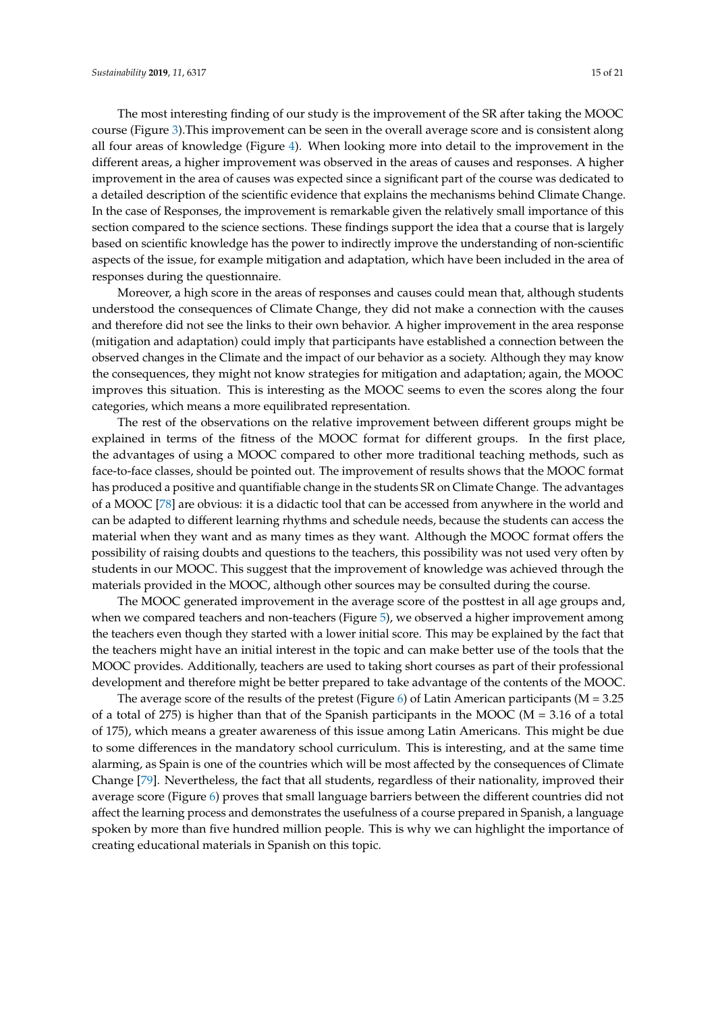The most interesting finding of our study is the improvement of the SR after taking the MOOC course (Figure [3\)](#page-11-0).This improvement can be seen in the overall average score and is consistent along all four areas of knowledge (Figure [4\)](#page-12-0). When looking more into detail to the improvement in the different areas, a higher improvement was observed in the areas of causes and responses. A higher improvement in the area of causes was expected since a significant part of the course was dedicated to a detailed description of the scientific evidence that explains the mechanisms behind Climate Change. In the case of Responses, the improvement is remarkable given the relatively small importance of this section compared to the science sections. These findings support the idea that a course that is largely based on scientific knowledge has the power to indirectly improve the understanding of non-scientific aspects of the issue, for example mitigation and adaptation, which have been included in the area of responses during the questionnaire.

Moreover, a high score in the areas of responses and causes could mean that, although students understood the consequences of Climate Change, they did not make a connection with the causes and therefore did not see the links to their own behavior. A higher improvement in the area response (mitigation and adaptation) could imply that participants have established a connection between the observed changes in the Climate and the impact of our behavior as a society. Although they may know the consequences, they might not know strategies for mitigation and adaptation; again, the MOOC improves this situation. This is interesting as the MOOC seems to even the scores along the four categories, which means a more equilibrated representation.

The rest of the observations on the relative improvement between different groups might be explained in terms of the fitness of the MOOC format for different groups. In the first place, the advantages of using a MOOC compared to other more traditional teaching methods, such as face-to-face classes, should be pointed out. The improvement of results shows that the MOOC format has produced a positive and quantifiable change in the students SR on Climate Change. The advantages of a MOOC [\[78\]](#page-20-3) are obvious: it is a didactic tool that can be accessed from anywhere in the world and can be adapted to different learning rhythms and schedule needs, because the students can access the material when they want and as many times as they want. Although the MOOC format offers the possibility of raising doubts and questions to the teachers, this possibility was not used very often by students in our MOOC. This suggest that the improvement of knowledge was achieved through the materials provided in the MOOC, although other sources may be consulted during the course.

The MOOC generated improvement in the average score of the posttest in all age groups and, when we compared teachers and non-teachers (Figure [5\)](#page-12-1), we observed a higher improvement among the teachers even though they started with a lower initial score. This may be explained by the fact that the teachers might have an initial interest in the topic and can make better use of the tools that the MOOC provides. Additionally, teachers are used to taking short courses as part of their professional development and therefore might be better prepared to take advantage of the contents of the MOOC.

The average score of the results of the pretest (Figure [6\)](#page-13-0) of Latin American participants ( $M = 3.25$ of a total of 275) is higher than that of the Spanish participants in the MOOC ( $M = 3.16$  of a total of 175), which means a greater awareness of this issue among Latin Americans. This might be due to some differences in the mandatory school curriculum. This is interesting, and at the same time alarming, as Spain is one of the countries which will be most affected by the consequences of Climate Change [\[79\]](#page-20-4). Nevertheless, the fact that all students, regardless of their nationality, improved their average score (Figure [6\)](#page-13-0) proves that small language barriers between the different countries did not affect the learning process and demonstrates the usefulness of a course prepared in Spanish, a language spoken by more than five hundred million people. This is why we can highlight the importance of creating educational materials in Spanish on this topic.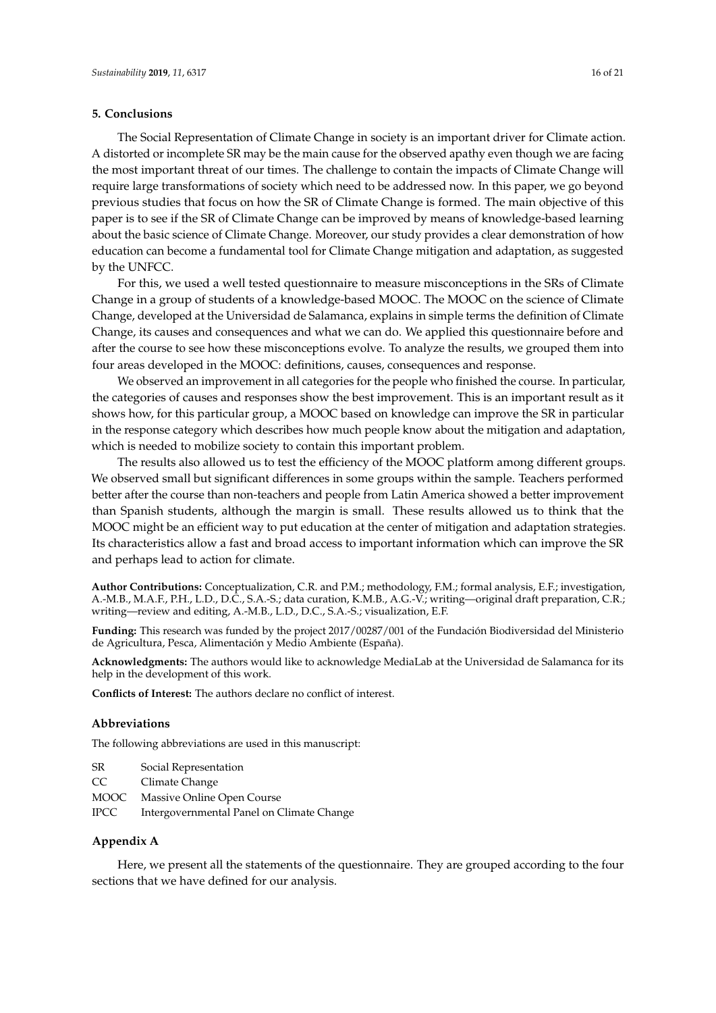# **5. Conclusions**

The Social Representation of Climate Change in society is an important driver for Climate action. A distorted or incomplete SR may be the main cause for the observed apathy even though we are facing the most important threat of our times. The challenge to contain the impacts of Climate Change will require large transformations of society which need to be addressed now. In this paper, we go beyond previous studies that focus on how the SR of Climate Change is formed. The main objective of this paper is to see if the SR of Climate Change can be improved by means of knowledge-based learning about the basic science of Climate Change. Moreover, our study provides a clear demonstration of how education can become a fundamental tool for Climate Change mitigation and adaptation, as suggested by the UNFCC.

For this, we used a well tested questionnaire to measure misconceptions in the SRs of Climate Change in a group of students of a knowledge-based MOOC. The MOOC on the science of Climate Change, developed at the Universidad de Salamanca, explains in simple terms the definition of Climate Change, its causes and consequences and what we can do. We applied this questionnaire before and after the course to see how these misconceptions evolve. To analyze the results, we grouped them into four areas developed in the MOOC: definitions, causes, consequences and response.

We observed an improvement in all categories for the people who finished the course. In particular, the categories of causes and responses show the best improvement. This is an important result as it shows how, for this particular group, a MOOC based on knowledge can improve the SR in particular in the response category which describes how much people know about the mitigation and adaptation, which is needed to mobilize society to contain this important problem.

The results also allowed us to test the efficiency of the MOOC platform among different groups. We observed small but significant differences in some groups within the sample. Teachers performed better after the course than non-teachers and people from Latin America showed a better improvement than Spanish students, although the margin is small. These results allowed us to think that the MOOC might be an efficient way to put education at the center of mitigation and adaptation strategies. Its characteristics allow a fast and broad access to important information which can improve the SR and perhaps lead to action for climate.

**Author Contributions:** Conceptualization, C.R. and P.M.; methodology, F.M.; formal analysis, E.F.; investigation, A.-M.B., M.A.F., P.H., L.D., D.C., S.A.-S.; data curation, K.M.B., A.G.-V.; writing—original draft preparation, C.R.; writing—review and editing, A.-M.B., L.D., D.C., S.A.-S.; visualization, E.F.

**Funding:** This research was funded by the project 2017/00287/001 of the Fundación Biodiversidad del Ministerio de Agricultura, Pesca, Alimentación y Medio Ambiente (España).

**Acknowledgments:** The authors would like to acknowledge MediaLab at the Universidad de Salamanca for its help in the development of this work.

**Conflicts of Interest:** The authors declare no conflict of interest.

## **Abbreviations**

The following abbreviations are used in this manuscript:

- SR Social Representation
- CC Climate Change
- MOOC Massive Online Open Course
- IPCC Intergovernmental Panel on Climate Change

# <span id="page-15-0"></span>**Appendix A**

Here, we present all the statements of the questionnaire. They are grouped according to the four sections that we have defined for our analysis.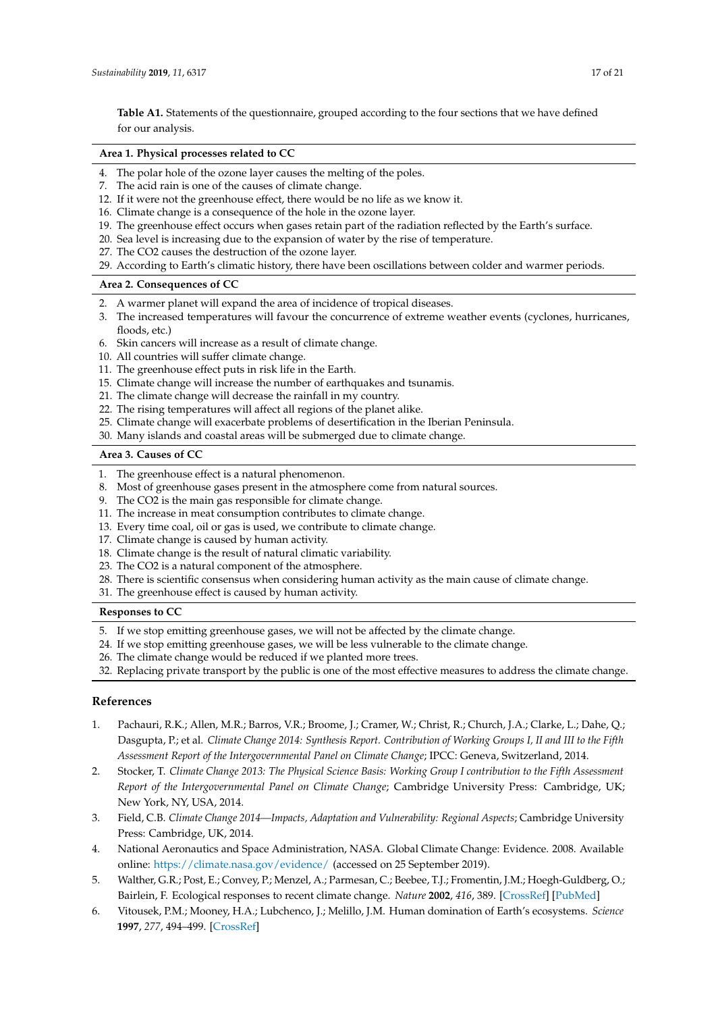**Table A1.** Statements of the questionnaire, grouped according to the four sections that we have defined for our analysis.

## **Area 1. Physical processes related to CC**

- 4. The polar hole of the ozone layer causes the melting of the poles.
- 7. The acid rain is one of the causes of climate change.
- 12. If it were not the greenhouse effect, there would be no life as we know it.
- 16. Climate change is a consequence of the hole in the ozone layer.
- 19. The greenhouse effect occurs when gases retain part of the radiation reflected by the Earth's surface.
- 20. Sea level is increasing due to the expansion of water by the rise of temperature.
- 27. The CO2 causes the destruction of the ozone layer.
- 29. According to Earth's climatic history, there have been oscillations between colder and warmer periods.

# **Area 2. Consequences of CC**

- 2. A warmer planet will expand the area of incidence of tropical diseases.
- 3. The increased temperatures will favour the concurrence of extreme weather events (cyclones, hurricanes, floods, etc.)
- 6. Skin cancers will increase as a result of climate change.
- 10. All countries will suffer climate change.
- 11. The greenhouse effect puts in risk life in the Earth.
- 15. Climate change will increase the number of earthquakes and tsunamis.
- 21. The climate change will decrease the rainfall in my country.
- 22. The rising temperatures will affect all regions of the planet alike.
- 25. Climate change will exacerbate problems of desertification in the Iberian Peninsula.
- 30. Many islands and coastal areas will be submerged due to climate change.

#### **Area 3. Causes of CC**

- 1. The greenhouse effect is a natural phenomenon.
- 8. Most of greenhouse gases present in the atmosphere come from natural sources.
- 9. The CO2 is the main gas responsible for climate change.
- 11. The increase in meat consumption contributes to climate change.
- 13. Every time coal, oil or gas is used, we contribute to climate change.
- 17. Climate change is caused by human activity.
- 18. Climate change is the result of natural climatic variability.
- 23. The CO2 is a natural component of the atmosphere.
- 28. There is scientific consensus when considering human activity as the main cause of climate change.
- 31. The greenhouse effect is caused by human activity.

# **Responses to CC**

- 5. If we stop emitting greenhouse gases, we will not be affected by the climate change.
- 24. If we stop emitting greenhouse gases, we will be less vulnerable to the climate change.
- 26. The climate change would be reduced if we planted more trees.
- 32. Replacing private transport by the public is one of the most effective measures to address the climate change.

## **References**

- <span id="page-16-0"></span>1. Pachauri, R.K.; Allen, M.R.; Barros, V.R.; Broome, J.; Cramer, W.; Christ, R.; Church, J.A.; Clarke, L.; Dahe, Q.; Dasgupta, P.; et al. *Climate Change 2014: Synthesis Report. Contribution of Working Groups I, II and III to the Fifth Assessment Report of the Intergovernmental Panel on Climate Change*; IPCC: Geneva, Switzerland, 2014.
- <span id="page-16-1"></span>2. Stocker, T. *Climate Change 2013: The Physical Science Basis: Working Group I contribution to the Fifth Assessment Report of the Intergovernmental Panel on Climate Change*; Cambridge University Press: Cambridge, UK; New York, NY, USA, 2014.
- <span id="page-16-2"></span>3. Field, C.B. *Climate Change 2014—Impacts, Adaptation and Vulnerability: Regional Aspects*; Cambridge University Press: Cambridge, UK, 2014.
- <span id="page-16-3"></span>4. National Aeronautics and Space Administration, NASA. Global Climate Change: Evidence. 2008. Available online: <https://climate.nasa.gov/evidence/> (accessed on 25 September 2019).
- <span id="page-16-4"></span>5. Walther, G.R.; Post, E.; Convey, P.; Menzel, A.; Parmesan, C.; Beebee, T.J.; Fromentin, J.M.; Hoegh-Guldberg, O.; Bairlein, F. Ecological responses to recent climate change. *Nature* **2002**, *416*, 389. [\[CrossRef\]](http://dx.doi.org/10.1038/416389a) [\[PubMed\]](http://www.ncbi.nlm.nih.gov/pubmed/11919621)
- <span id="page-16-5"></span>6. Vitousek, P.M.; Mooney, H.A.; Lubchenco, J.; Melillo, J.M. Human domination of Earth's ecosystems. *Science* **1997**, *277*, 494–499. [\[CrossRef\]](http://dx.doi.org/10.1126/science.277.5325.494)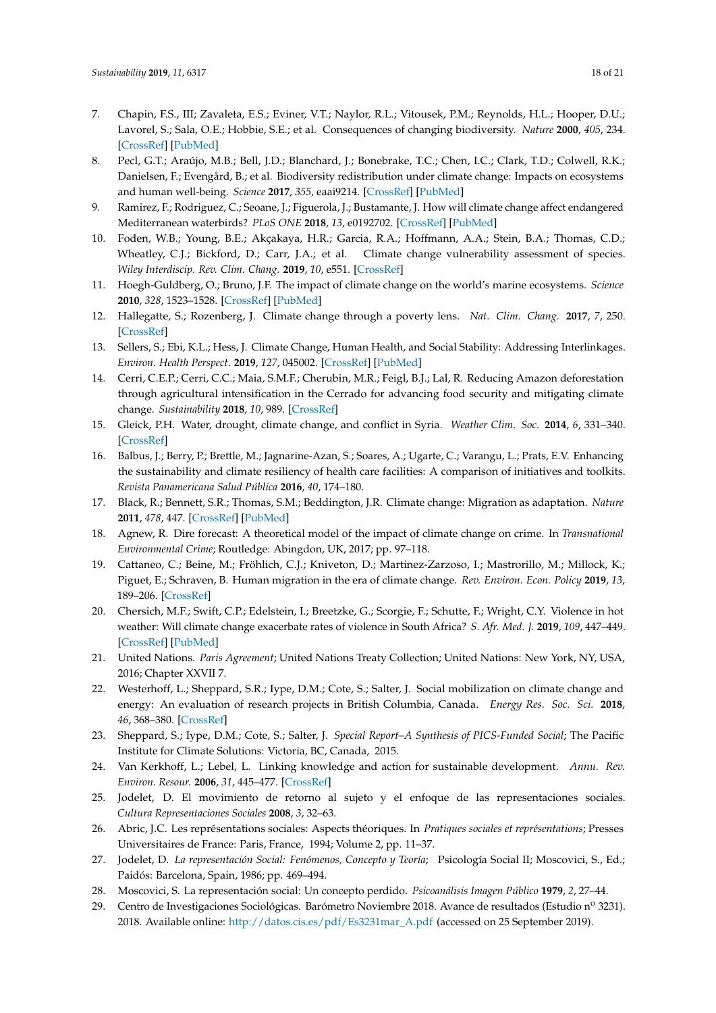- 7. Chapin, F.S., III; Zavaleta, E.S.; Eviner, V.T.; Naylor, R.L.; Vitousek, P.M.; Reynolds, H.L.; Hooper, D.U.; Lavorel, S.; Sala, O.E.; Hobbie, S.E.; et al. Consequences of changing biodiversity. *Nature* **2000**, *405*, 234. [\[CrossRef\]](http://dx.doi.org/10.1038/35012241) [\[PubMed\]](http://www.ncbi.nlm.nih.gov/pubmed/10821284)
- 8. Pecl, G.T.; Araújo, M.B.; Bell, J.D.; Blanchard, J.; Bonebrake, T.C.; Chen, I.C.; Clark, T.D.; Colwell, R.K.; Danielsen, F.; Evengård, B.; et al. Biodiversity redistribution under climate change: Impacts on ecosystems and human well-being. *Science* **2017**, *355*, eaai9214. [\[CrossRef\]](http://dx.doi.org/10.1126/science.aai9214) [\[PubMed\]](http://www.ncbi.nlm.nih.gov/pubmed/28360268)
- 9. Ramirez, F.; Rodriguez, C.; Seoane, J.; Figuerola, J.; Bustamante, J. How will climate change affect endangered Mediterranean waterbirds? *PLoS ONE* **2018**, *13*, e0192702. [\[CrossRef\]](http://dx.doi.org/10.1371/journal.pone.0192702) [\[PubMed\]](http://www.ncbi.nlm.nih.gov/pubmed/29438428)
- <span id="page-17-0"></span>10. Foden, W.B.; Young, B.E.; Akçakaya, H.R.; Garcia, R.A.; Hoffmann, A.A.; Stein, B.A.; Thomas, C.D.; Wheatley, C.J.; Bickford, D.; Carr, J.A.; et al. Climate change vulnerability assessment of species. *Wiley Interdiscip. Rev. Clim. Chang.* **2019**, *10*, e551. [\[CrossRef\]](http://dx.doi.org/10.1002/wcc.551)
- <span id="page-17-1"></span>11. Hoegh-Guldberg, O.; Bruno, J.F. The impact of climate change on the world's marine ecosystems. *Science* **2010**, *328*, 1523–1528. [\[CrossRef\]](http://dx.doi.org/10.1126/science.1189930) [\[PubMed\]](http://www.ncbi.nlm.nih.gov/pubmed/20558709)
- <span id="page-17-2"></span>12. Hallegatte, S.; Rozenberg, J. Climate change through a poverty lens. *Nat. Clim. Chang.* **2017**, *7*, 250. [\[CrossRef\]](http://dx.doi.org/10.1038/nclimate3253)
- <span id="page-17-3"></span>13. Sellers, S.; Ebi, K.L.; Hess, J. Climate Change, Human Health, and Social Stability: Addressing Interlinkages. *Environ. Health Perspect.* **2019**, *127*, 045002. [\[CrossRef\]](http://dx.doi.org/10.1289/EHP4534) [\[PubMed\]](http://www.ncbi.nlm.nih.gov/pubmed/30986089)
- <span id="page-17-4"></span>14. Cerri, C.E.P.; Cerri, C.C.; Maia, S.M.F.; Cherubin, M.R.; Feigl, B.J.; Lal, R. Reducing Amazon deforestation through agricultural intensification in the Cerrado for advancing food security and mitigating climate change. *Sustainability* **2018**, *10*, 989. [\[CrossRef\]](http://dx.doi.org/10.3390/su10040989)
- <span id="page-17-5"></span>15. Gleick, P.H. Water, drought, climate change, and conflict in Syria. *Weather Clim. Soc.* **2014**, *6*, 331–340. [\[CrossRef\]](http://dx.doi.org/10.1175/WCAS-D-13-00059.1)
- <span id="page-17-6"></span>16. Balbus, J.; Berry, P.; Brettle, M.; Jagnarine-Azan, S.; Soares, A.; Ugarte, C.; Varangu, L.; Prats, E.V. Enhancing the sustainability and climate resiliency of health care facilities: A comparison of initiatives and toolkits. *Revista Panamericana Salud Pública* **2016**, *40*, 174–180.
- <span id="page-17-7"></span>17. Black, R.; Bennett, S.R.; Thomas, S.M.; Beddington, J.R. Climate change: Migration as adaptation. *Nature* **2011**, *478*, 447. [\[CrossRef\]](http://dx.doi.org/10.1038/478477a) [\[PubMed\]](http://www.ncbi.nlm.nih.gov/pubmed/22012304)
- 18. Agnew, R. Dire forecast: A theoretical model of the impact of climate change on crime. In *Transnational Environmental Crime*; Routledge: Abingdon, UK, 2017; pp. 97–118.
- 19. Cattaneo, C.; Beine, M.; Fröhlich, C.J.; Kniveton, D.; Martinez-Zarzoso, I.; Mastrorillo, M.; Millock, K.; Piguet, E.; Schraven, B. Human migration in the era of climate change. *Rev. Environ. Econ. Policy* **2019**, *13*, 189–206. [\[CrossRef\]](http://dx.doi.org/10.1093/reep/rez008)
- <span id="page-17-8"></span>20. Chersich, M.F.; Swift, C.P.; Edelstein, I.; Breetzke, G.; Scorgie, F.; Schutte, F.; Wright, C.Y. Violence in hot weather: Will climate change exacerbate rates of violence in South Africa? *S. Afr. Med. J.* **2019**, *109*, 447–449. [\[CrossRef\]](http://dx.doi.org/10.7196/SAMJ.2019.v109i7.14134) [\[PubMed\]](http://www.ncbi.nlm.nih.gov/pubmed/31266566)
- <span id="page-17-9"></span>21. United Nations. *Paris Agreement*; United Nations Treaty Collection; United Nations: New York, NY, USA, 2016; Chapter XXVII 7.
- <span id="page-17-10"></span>22. Westerhoff, L.; Sheppard, S.R.; Iype, D.M.; Cote, S.; Salter, J. Social mobilization on climate change and energy: An evaluation of research projects in British Columbia, Canada. *Energy Res. Soc. Sci.* **2018**, *46*, 368–380. [\[CrossRef\]](http://dx.doi.org/10.1016/j.erss.2018.07.022)
- <span id="page-17-11"></span>23. Sheppard, S.; Iype, D.M.; Cote, S.; Salter, J. *Special Report–A Synthesis of PICS-Funded Social*; The Pacific Institute for Climate Solutions: Victoria, BC, Canada, 2015.
- <span id="page-17-12"></span>24. Van Kerkhoff, L.; Lebel, L. Linking knowledge and action for sustainable development. *Annu. Rev. Environ. Resour.* **2006**, *31*, 445–477. [\[CrossRef\]](http://dx.doi.org/10.1146/annurev.energy.31.102405.170850)
- <span id="page-17-13"></span>25. Jodelet, D. El movimiento de retorno al sujeto y el enfoque de las representaciones sociales. *Cultura Representaciones Sociales* **2008**, *3*, 32–63.
- <span id="page-17-14"></span>26. Abric, J.C. Les représentations sociales: Aspects théoriques. In *Pratiques sociales et représentations*; Presses Universitaires de France: Paris, France, 1994; Volume 2, pp. 11–37.
- <span id="page-17-15"></span>27. Jodelet, D. *La representación Social: Fenómenos, Concepto y Teoría*; Psicología Social II; Moscovici, S., Ed.; Paidós: Barcelona, Spain, 1986; pp. 469–494.
- <span id="page-17-16"></span>28. Moscovici, S. La representación social: Un concepto perdido. *Psicoanálisis Imagen Público* **1979**, *2*, 27–44.
- <span id="page-17-17"></span>29. Centro de Investigaciones Sociológicas. Barómetro Noviembre 2018. Avance de resultados (Estudio nº 3231). 2018. Available online: [http://datos.cis.es/pdf/Es3231mar\\_A.pdf](http://datos.cis.es/pdf/Es3231mar_A.pdf) (accessed on 25 September 2019).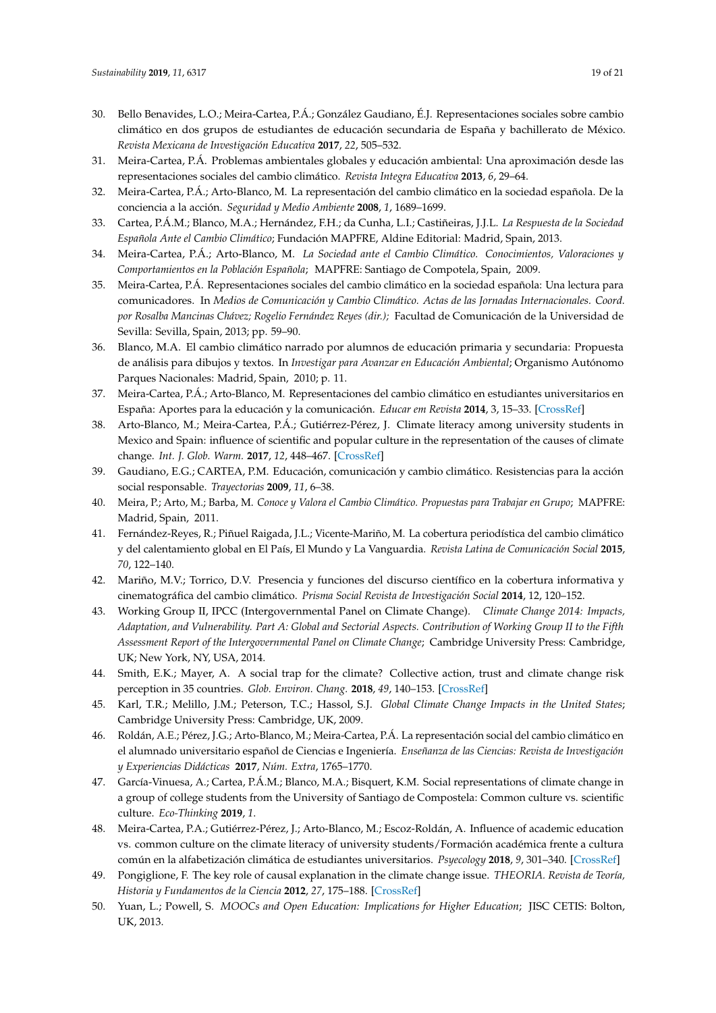- <span id="page-18-0"></span>30. Bello Benavides, L.O.; Meira-Cartea, P.Á.; González Gaudiano, É.J. Representaciones sociales sobre cambio climático en dos grupos de estudiantes de educación secundaria de España y bachillerato de México. *Revista Mexicana de Investigación Educativa* **2017**, *22*, 505–532.
- <span id="page-18-1"></span>31. Meira-Cartea, P.Á. Problemas ambientales globales y educación ambiental: Una aproximación desde las representaciones sociales del cambio climático. *Revista Integra Educativa* **2013**, *6*, 29–64.
- 32. Meira-Cartea, P.Á.; Arto-Blanco, M. La representación del cambio climático en la sociedad española. De la conciencia a la acción. *Seguridad y Medio Ambiente* **2008**, *1*, 1689–1699.
- 33. Cartea, P.Á.M.; Blanco, M.A.; Hernández, F.H.; da Cunha, L.I.; Castiñeiras, J.J.L. *La Respuesta de la Sociedad Española Ante el Cambio Climático*; Fundación MAPFRE, Aldine Editorial: Madrid, Spain, 2013.
- 34. Meira-Cartea, P.Á.; Arto-Blanco, M. *La Sociedad ante el Cambio Climático. Conocimientos, Valoraciones y Comportamientos en la Población Española*; MAPFRE: Santiago de Compotela, Spain, 2009.
- <span id="page-18-2"></span>35. Meira-Cartea, P.Á. Representaciones sociales del cambio climático en la sociedad española: Una lectura para comunicadores. In *Medios de Comunicación y Cambio Climático. Actas de las Jornadas Internacionales. Coord. por Rosalba Mancinas Chávez; Rogelio Fernández Reyes (dir.);* Facultad de Comunicación de la Universidad de Sevilla: Sevilla, Spain, 2013; pp. 59–90.
- <span id="page-18-3"></span>36. Blanco, M.A. El cambio climático narrado por alumnos de educación primaria y secundaria: Propuesta de análisis para dibujos y textos. In *Investigar para Avanzar en Educación Ambiental*; Organismo Autónomo Parques Nacionales: Madrid, Spain, 2010; p. 11.
- <span id="page-18-12"></span>37. Meira-Cartea, P.Á.; Arto-Blanco, M. Representaciones del cambio climático en estudiantes universitarios en España: Aportes para la educación y la comunicación. *Educar em Revista* **2014**, 3, 15–33. [\[CrossRef\]](http://dx.doi.org/10.1590/0104-4060.38041)
- <span id="page-18-4"></span>38. Arto-Blanco, M.; Meira-Cartea, P.Á.; Gutiérrez-Pérez, J. Climate literacy among university students in Mexico and Spain: influence of scientific and popular culture in the representation of the causes of climate change. *Int. J. Glob. Warm.* **2017**, *12*, 448–467. [\[CrossRef\]](http://dx.doi.org/10.1504/IJGW.2017.10005896)
- <span id="page-18-5"></span>39. Gaudiano, E.G.; CARTEA, P.M. Educación, comunicación y cambio climático. Resistencias para la acción social responsable. *Trayectorias* **2009**, *11*, 6–38.
- <span id="page-18-6"></span>40. Meira, P.; Arto, M.; Barba, M. *Conoce y Valora el Cambio Climático. Propuestas para Trabajar en Grupo*; MAPFRE: Madrid, Spain, 2011.
- <span id="page-18-7"></span>41. Fernández-Reyes, R.; Piñuel Raigada, J.L.; Vicente-Mariño, M. La cobertura periodística del cambio climático y del calentamiento global en El País, El Mundo y La Vanguardia. *Revista Latina de Comunicación Social* **2015**, *70*, 122–140.
- <span id="page-18-8"></span>42. Mariño, M.V.; Torrico, D.V. Presencia y funciones del discurso científico en la cobertura informativa y cinematográfica del cambio climático. *Prisma Social Revista de Investigación Social* **2014**, 12, 120–152.
- <span id="page-18-9"></span>43. Working Group II, IPCC (Intergovernmental Panel on Climate Change). *Climate Change 2014: Impacts, Adaptation, and Vulnerability. Part A: Global and Sectorial Aspects. Contribution of Working Group II to the Fifth Assessment Report of the Intergovernmental Panel on Climate Change*; Cambridge University Press: Cambridge, UK; New York, NY, USA, 2014.
- <span id="page-18-10"></span>44. Smith, E.K.; Mayer, A. A social trap for the climate? Collective action, trust and climate change risk perception in 35 countries. *Glob. Environ. Chang.* **2018**, *49*, 140–153. [\[CrossRef\]](http://dx.doi.org/10.1016/j.gloenvcha.2018.02.014)
- <span id="page-18-11"></span>45. Karl, T.R.; Melillo, J.M.; Peterson, T.C.; Hassol, S.J. *Global Climate Change Impacts in the United States*; Cambridge University Press: Cambridge, UK, 2009.
- <span id="page-18-13"></span>46. Roldán, A.E.; Pérez, J.G.; Arto-Blanco, M.; Meira-Cartea, P.Á. La representación social del cambio climático en el alumnado universitario español de Ciencias e Ingeniería. *Enseñanza de las Ciencias: Revista de Investigación y Experiencias Didácticas* **2017**, *Núm. Extra*, 1765–1770.
- <span id="page-18-14"></span>47. García-Vinuesa, A.; Cartea, P.Á.M.; Blanco, M.A.; Bisquert, K.M. Social representations of climate change in a group of college students from the University of Santiago de Compostela: Common culture vs. scientific culture. *Eco-Thinking* **2019**, *1*.
- <span id="page-18-15"></span>48. Meira-Cartea, P.A.; Gutiérrez-Pérez, J.; Arto-Blanco, M.; Escoz-Roldán, A. Influence of academic education vs. common culture on the climate literacy of university students/Formación académica frente a cultura común en la alfabetización climática de estudiantes universitarios. *Psyecology* **2018**, *9*, 301–340. [\[CrossRef\]](http://dx.doi.org/10.1080/21711976.2018.1483569)
- <span id="page-18-16"></span>49. Pongiglione, F. The key role of causal explanation in the climate change issue. *THEORIA. Revista de Teoría, Historia y Fundamentos de la Ciencia* **2012**, *27*, 175–188. [\[CrossRef\]](http://dx.doi.org/10.1387/theoria.3342)
- <span id="page-18-17"></span>50. Yuan, L.; Powell, S. *MOOCs and Open Education: Implications for Higher Education*; JISC CETIS: Bolton, UK, 2013.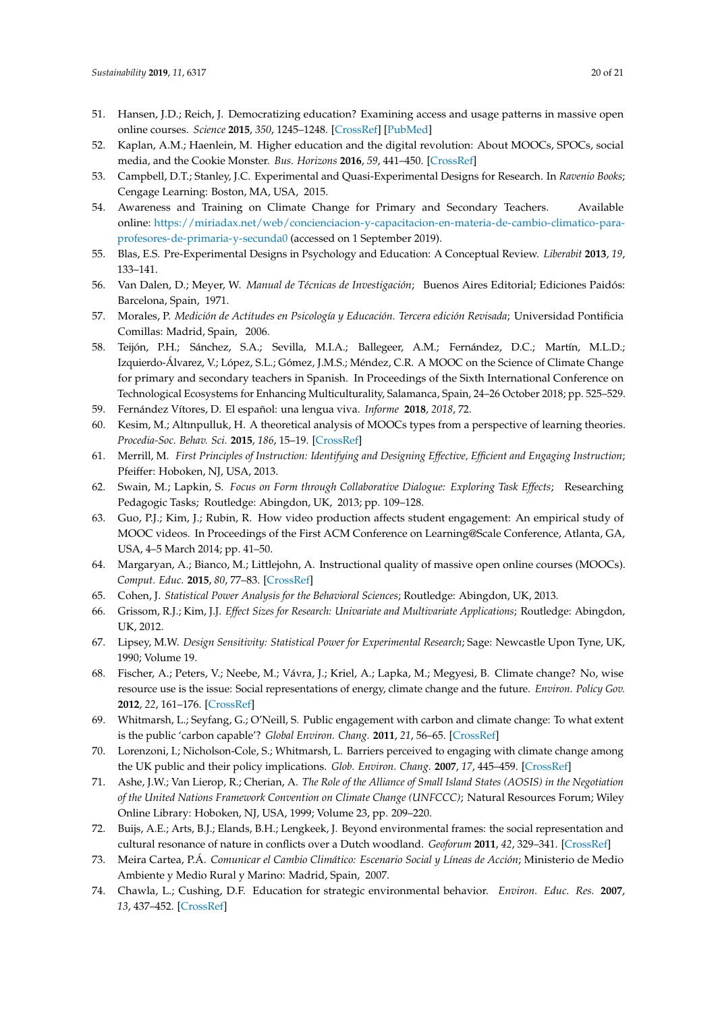- <span id="page-19-0"></span>51. Hansen, J.D.; Reich, J. Democratizing education? Examining access and usage patterns in massive open online courses. *Science* **2015**, *350*, 1245–1248. [\[CrossRef\]](http://dx.doi.org/10.1126/science.aab3782) [\[PubMed\]](http://www.ncbi.nlm.nih.gov/pubmed/26785488)
- <span id="page-19-1"></span>52. Kaplan, A.M.; Haenlein, M. Higher education and the digital revolution: About MOOCs, SPOCs, social media, and the Cookie Monster. *Bus. Horizons* **2016**, *59*, 441–450. [\[CrossRef\]](http://dx.doi.org/10.1016/j.bushor.2016.03.008)
- <span id="page-19-2"></span>53. Campbell, D.T.; Stanley, J.C. Experimental and Quasi-Experimental Designs for Research. In *Ravenio Books*; Cengage Learning: Boston, MA, USA, 2015.
- <span id="page-19-3"></span>54. Awareness and Training on Climate Change for Primary and Secondary Teachers. Available online: [https://miriadax.net/web/concienciacion-y-capacitacion-en-materia-de-cambio-climatico-para](https://miriadax.net/web/concienciacion-y-capacitacion-en-materia-de-cambio-climatico-para-profesores-de-primaria-y-secunda0)[profesores-de-primaria-y-secunda0](https://miriadax.net/web/concienciacion-y-capacitacion-en-materia-de-cambio-climatico-para-profesores-de-primaria-y-secunda0) (accessed on 1 September 2019).
- <span id="page-19-4"></span>55. Blas, E.S. Pre-Experimental Designs in Psychology and Education: A Conceptual Review. *Liberabit* **2013**, *19*, 133–141.
- <span id="page-19-5"></span>56. Van Dalen, D.; Meyer, W. *Manual de Técnicas de Investigación*; Buenos Aires Editorial; Ediciones Paidós: Barcelona, Spain, 1971.
- <span id="page-19-6"></span>57. Morales, P. *Medición de Actitudes en Psicología y Educación. Tercera edición Revisada*; Universidad Pontificia Comillas: Madrid, Spain, 2006.
- <span id="page-19-7"></span>58. Teijón, P.H.; Sánchez, S.A.; Sevilla, M.I.A.; Ballegeer, A.M.; Fernández, D.C.; Martín, M.L.D.; Izquierdo-Álvarez, V.; López, S.L.; Gómez, J.M.S.; Méndez, C.R. A MOOC on the Science of Climate Change for primary and secondary teachers in Spanish. In Proceedings of the Sixth International Conference on Technological Ecosystems for Enhancing Multiculturality, Salamanca, Spain, 24–26 October 2018; pp. 525–529.
- <span id="page-19-9"></span><span id="page-19-8"></span>59. Fernández Vítores, D. El español: una lengua viva. *Informe* **2018**, *2018*, 72.
- 60. Kesim, M.; Altınpulluk, H. A theoretical analysis of MOOCs types from a perspective of learning theories. *Procedia-Soc. Behav. Sci.* **2015**, *186*, 15–19. [\[CrossRef\]](http://dx.doi.org/10.1016/j.sbspro.2015.04.056)
- <span id="page-19-10"></span>61. Merrill, M. *First Principles of Instruction: Identifying and Designing Effective, Efficient and Engaging Instruction*; Pfeiffer: Hoboken, NJ, USA, 2013.
- 62. Swain, M.; Lapkin, S. *Focus on Form through Collaborative Dialogue: Exploring Task Effects*; Researching Pedagogic Tasks; Routledge: Abingdon, UK, 2013; pp. 109–128.
- 63. Guo, P.J.; Kim, J.; Rubin, R. How video production affects student engagement: An empirical study of MOOC videos. In Proceedings of the First ACM Conference on Learning@Scale Conference, Atlanta, GA, USA, 4–5 March 2014; pp. 41–50.
- <span id="page-19-11"></span>64. Margaryan, A.; Bianco, M.; Littlejohn, A. Instructional quality of massive open online courses (MOOCs). *Comput. Educ.* **2015**, *80*, 77–83. [\[CrossRef\]](http://dx.doi.org/10.1016/j.compedu.2014.08.005)
- <span id="page-19-12"></span>65. Cohen, J. *Statistical Power Analysis for the Behavioral Sciences*; Routledge: Abingdon, UK, 2013.
- <span id="page-19-13"></span>66. Grissom, R.J.; Kim, J.J. *Effect Sizes for Research: Univariate and Multivariate Applications*; Routledge: Abingdon, UK, 2012.
- <span id="page-19-14"></span>67. Lipsey, M.W. *Design Sensitivity: Statistical Power for Experimental Research*; Sage: Newcastle Upon Tyne, UK, 1990; Volume 19.
- <span id="page-19-15"></span>68. Fischer, A.; Peters, V.; Neebe, M.; Vávra, J.; Kriel, A.; Lapka, M.; Megyesi, B. Climate change? No, wise resource use is the issue: Social representations of energy, climate change and the future. *Environ. Policy Gov.* **2012**, *22*, 161–176. [\[CrossRef\]](http://dx.doi.org/10.1002/eet.1585)
- <span id="page-19-16"></span>69. Whitmarsh, L.; Seyfang, G.; O'Neill, S. Public engagement with carbon and climate change: To what extent is the public 'carbon capable'? *Global Environ. Chang.* **2011**, *21*, 56–65. [\[CrossRef\]](http://dx.doi.org/10.1016/j.gloenvcha.2010.07.011)
- <span id="page-19-17"></span>70. Lorenzoni, I.; Nicholson-Cole, S.; Whitmarsh, L. Barriers perceived to engaging with climate change among the UK public and their policy implications. *Glob. Environ. Chang.* **2007**, *17*, 445–459. [\[CrossRef\]](http://dx.doi.org/10.1016/j.gloenvcha.2007.01.004)
- <span id="page-19-18"></span>71. Ashe, J.W.; Van Lierop, R.; Cherian, A. *The Role of the Alliance of Small Island States (AOSIS) in the Negotiation of the United Nations Framework Convention on Climate Change (UNFCCC)*; Natural Resources Forum; Wiley Online Library: Hoboken, NJ, USA, 1999; Volume 23, pp. 209–220.
- <span id="page-19-19"></span>72. Buijs, A.E.; Arts, B.J.; Elands, B.H.; Lengkeek, J. Beyond environmental frames: the social representation and cultural resonance of nature in conflicts over a Dutch woodland. *Geoforum* **2011**, *42*, 329–341. [\[CrossRef\]](http://dx.doi.org/10.1016/j.geoforum.2010.12.008)
- <span id="page-19-20"></span>73. Meira Cartea, P.Á. *Comunicar el Cambio Climático: Escenario Social y Líneas de Acción*; Ministerio de Medio Ambiente y Medio Rural y Marino: Madrid, Spain, 2007.
- <span id="page-19-21"></span>74. Chawla, L.; Cushing, D.F. Education for strategic environmental behavior. *Environ. Educ. Res.* **2007**, *13*, 437–452. [\[CrossRef\]](http://dx.doi.org/10.1080/13504620701581539)